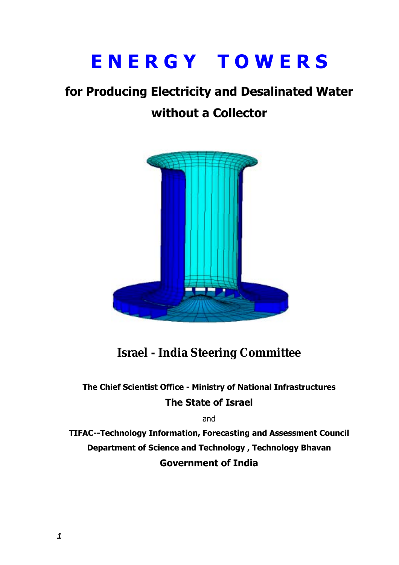# **E N E R G Y T O W E R S**

# **for Producing Electricity and Desalinated Water**

# **without a Collector**



# **Israel - India Steering Committee**

# **The Chief Scientist Office - Ministry of National Infrastructures The State of Israel**

and

**TIFAC--Technology Information, Forecasting and Assessment Council Department of Science and Technology , Technology Bhavan Government of India**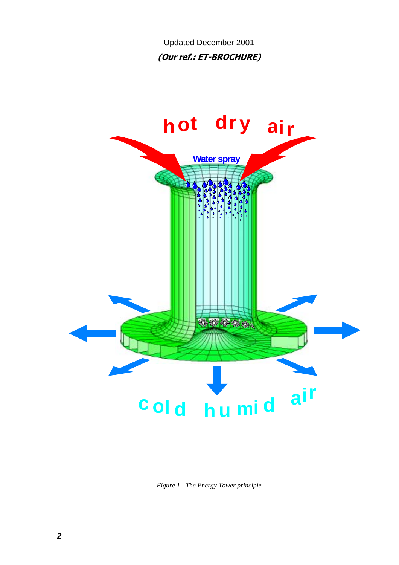Updated December 2001 **(Our ref.: ET-BROCHURE)** 



*Figure 1 - The Energy Tower principle*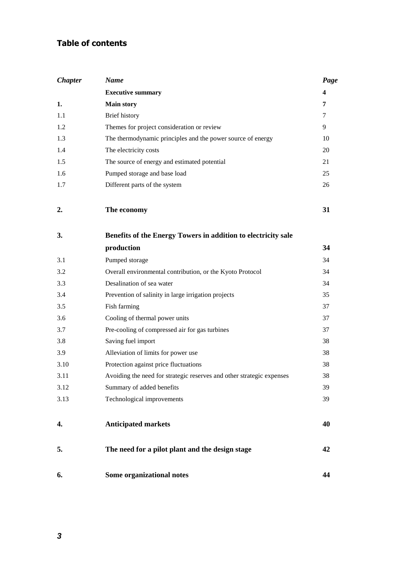# **Table of contents**

| <b>Chapter</b> | <b>Name</b>                                                           | Page |
|----------------|-----------------------------------------------------------------------|------|
|                | <b>Executive summary</b>                                              | 4    |
| 1.             | <b>Main story</b>                                                     | 7    |
| 1.1            | Brief history                                                         | 7    |
| 1.2            | Themes for project consideration or review                            | 9    |
| 1.3            | The thermodynamic principles and the power source of energy           | 10   |
| 1.4            | The electricity costs                                                 | 20   |
| 1.5            | The source of energy and estimated potential                          | 21   |
| 1.6            | Pumped storage and base load                                          | 25   |
| 1.7            | Different parts of the system                                         | 26   |
| 2.             | The economy                                                           | 31   |
| 3.             | Benefits of the Energy Towers in addition to electricity sale         |      |
|                | production                                                            | 34   |
| 3.1            | Pumped storage                                                        | 34   |
| 3.2            | Overall environmental contribution, or the Kyoto Protocol             | 34   |
| 3.3            | Desalination of sea water                                             | 34   |
| 3.4            | Prevention of salinity in large irrigation projects                   | 35   |
| 3.5            | Fish farming                                                          | 37   |
| 3.6            | Cooling of thermal power units                                        | 37   |
| 3.7            | Pre-cooling of compressed air for gas turbines                        | 37   |
| 3.8            | Saving fuel import                                                    | 38   |
| 3.9            | Alleviation of limits for power use                                   | 38   |
| 3.10           | Protection against price fluctuations                                 | 38   |
| 3.11           | Avoiding the need for strategic reserves and other strategic expenses | 38   |
| 3.12           | Summary of added benefits                                             | 39   |
| 3.13           | Technological improvements                                            | 39   |
| 4.             | <b>Anticipated markets</b>                                            | 40   |
| 5.             | The need for a pilot plant and the design stage                       | 42   |
| 6.             | Some organizational notes                                             | 44   |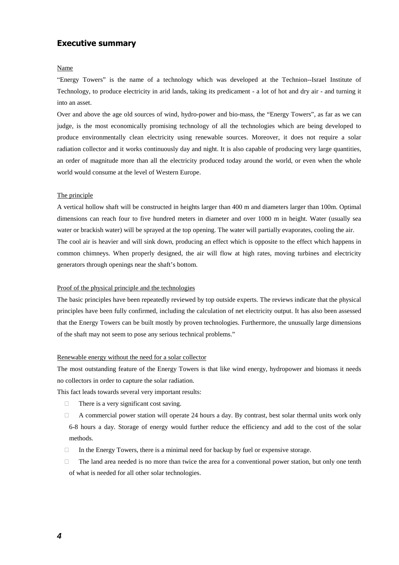# **Executive summary**

#### Name

ìEnergy Towers" is the name of a technology which was developed at the Technion--Israel Institute of Technology, to produce electricity in arid lands, taking its predicament - a lot of hot and dry air - and turning it into an asset.

Over and above the age old sources of wind, hydro-power and bio-mass, the "Energy Towers", as far as we can judge, is the most economically promising technology of all the technologies which are being developed to produce environmentally clean electricity using renewable sources. Moreover, it does not require a solar radiation collector and it works continuously day and night. It is also capable of producing very large quantities, an order of magnitude more than all the electricity produced today around the world, or even when the whole world would consume at the level of Western Europe.

#### The principle

A vertical hollow shaft will be constructed in heights larger than 400 m and diameters larger than 100m. Optimal dimensions can reach four to five hundred meters in diameter and over 1000 m in height. Water (usually sea water or brackish water) will be sprayed at the top opening. The water will partially evaporates, cooling the air. The cool air is heavier and will sink down, producing an effect which is opposite to the effect which happens in common chimneys. When properly designed, the air will flow at high rates, moving turbines and electricity generators through openings near the shaft's bottom.

#### Proof of the physical principle and the technologies

The basic principles have been repeatedly reviewed by top outside experts. The reviews indicate that the physical principles have been fully confirmed, including the calculation of net electricity output. It has also been assessed that the Energy Towers can be built mostly by proven technologies. Furthermore, the unusually large dimensions of the shaft may not seem to pose any serious technical problems."

#### Renewable energy without the need for a solar collector

The most outstanding feature of the Energy Towers is that like wind energy, hydropower and biomass it needs no collectors in order to capture the solar radiation.

This fact leads towards several very important results:

There is a very significant cost saving.

 A commercial power station will operate 24 hours a day. By contrast, best solar thermal units work only 6-8 hours a day. Storage of energy would further reduce the efficiency and add to the cost of the solar methods.

In the Energy Towers, there is a minimal need for backup by fuel or expensive storage.

 The land area needed is no more than twice the area for a conventional power station, but only one tenth of what is needed for all other solar technologies.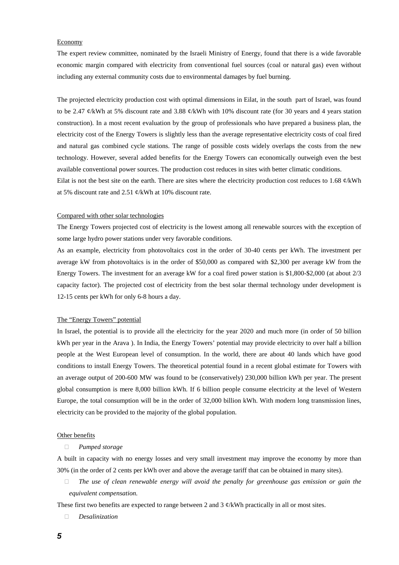#### Economy

The expert review committee, nominated by the Israeli Ministry of Energy, found that there is a wide favorable economic margin compared with electricity from conventional fuel sources (coal or natural gas) even without including any external community costs due to environmental damages by fuel burning.

The projected electricity production cost with optimal dimensions in Eilat, in the south part of Israel, was found to be 2.47  $\ell$ /kWh at 5% discount rate and 3.88  $\ell$ /kWh with 10% discount rate (for 30 years and 4 years station construction). In a most recent evaluation by the group of professionals who have prepared a business plan, the electricity cost of the Energy Towers is slightly less than the average representative electricity costs of coal fired and natural gas combined cycle stations. The range of possible costs widely overlaps the costs from the new technology. However, several added benefits for the Energy Towers can economically outweigh even the best available conventional power sources. The production cost reduces in sites with better climatic conditions. Eilat is not the best site on the earth. There are sites where the electricity production cost reduces to 1.68  $\varphi$ /kWh at 5% discount rate and 2.51 ¢/kWh at 10% discount rate.

#### Compared with other solar technologies

The Energy Towers projected cost of electricity is the lowest among all renewable sources with the exception of some large hydro power stations under very favorable conditions.

As an example, electricity from photovoltaics cost in the order of 30-40 cents per kWh. The investment per average kW from photovoltaics is in the order of \$50,000 as compared with \$2,300 per average kW from the Energy Towers. The investment for an average kW for a coal fired power station is \$1,800-\$2,000 (at about 2/3 capacity factor). The projected cost of electricity from the best solar thermal technology under development is 12-15 cents per kWh for only 6-8 hours a day.

#### The "Energy Towers" potential

In Israel, the potential is to provide all the electricity for the year 2020 and much more (in order of 50 billion kWh per year in the Arava ). In India, the Energy Towers' potential may provide electricity to over half a billion people at the West European level of consumption. In the world, there are about 40 lands which have good conditions to install Energy Towers. The theoretical potential found in a recent global estimate for Towers with an average output of 200-600 MW was found to be (conservatively) 230,000 billion kWh per year. The present global consumption is mere 8,000 billion kWh. If 6 billion people consume electricity at the level of Western Europe, the total consumption will be in the order of 32,000 billion kWh. With modern long transmission lines, electricity can be provided to the majority of the global population.

#### Other benefits

#### *Pumped storage*

A built in capacity with no energy losses and very small investment may improve the economy by more than 30% (in the order of 2 cents per kWh over and above the average tariff that can be obtained in many sites).

 *The use of clean renewable energy will avoid the penalty for greenhouse gas emission or gain the equivalent compensation.* 

These first two benefits are expected to range between 2 and 3  $\mathcal{C}/kWh$  practically in all or most sites.

*Desalinization*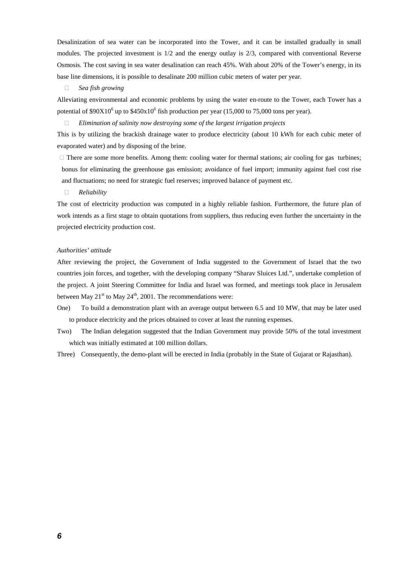Desalinization of sea water can be incorporated into the Tower, and it can be installed gradually in small modules. The projected investment is 1/2 and the energy outlay is 2/3, compared with conventional Reverse Osmosis. The cost saving in sea water desalination can reach 45%. With about 20% of the Tower's energy, in its base line dimensions, it is possible to desalinate 200 million cubic meters of water per year.

#### *Sea fish growing*

Alleviating environmental and economic problems by using the water en-route to the Tower, each Tower has a potential of \$90X10<sup>6</sup> up to \$450x10<sup>6</sup> fish production per year (15,000 to 75,000 tons per year).

*Elimination of salinity now destroying some of the largest irrigation projects*

This is by utilizing the brackish drainage water to produce electricity (about 10 kWh for each cubic meter of evaporated water) and by disposing of the brine.

 There are some more benefits. Among them: cooling water for thermal stations; air cooling for gas turbines; bonus for eliminating the greenhouse gas emission; avoidance of fuel import; immunity against fuel cost rise and fluctuations; no need for strategic fuel reserves; improved balance of payment etc.

#### *Reliability*

The cost of electricity production was computed in a highly reliable fashion. Furthermore, the future plan of work intends as a first stage to obtain quotations from suppliers, thus reducing even further the uncertainty in the projected electricity production cost.

#### *Authorities' attitude*

After reviewing the project, the Government of India suggested to the Government of Israel that the two countries join forces, and together, with the developing company "Sharav Sluices Ltd.", undertake completion of the project. A joint Steering Committee for India and Israel was formed, and meetings took place in Jerusalem between May  $21^{st}$  to May  $24^{th}$ , 2001. The recommendations were:

- One) To build a demonstration plant with an average output between 6.5 and 10 MW, that may be later used to produce electricity and the prices obtained to cover at least the running expenses.
- Two) The Indian delegation suggested that the Indian Government may provide 50% of the total investment which was initially estimated at 100 million dollars.
- Three) Consequently, the demo-plant will be erected in India (probably in the State of Gujarat or Rajasthan).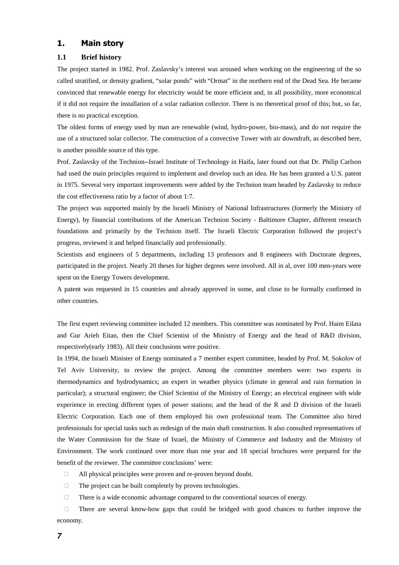### **1. Main story**

#### **1.1 Brief history**

The project started in 1982. Prof. Zaslavsky's interest was aroused when working on the engineering of the so called stratified, or density gradient, "solar ponds" with "Ormat" in the northern end of the Dead Sea. He became convinced that renewable energy for electricity would be more efficient and, in all possibility, more economical if it did not require the installation of a solar radiation collector. There is no theoretical proof of this; but, so far, there is no practical exception.

The oldest forms of energy used by man are renewable (wind, hydro-power, bio-mass), and do not require the use of a structured solar collector. The construction of a convective Tower with air downdraft, as described here, is another possible source of this type.

Prof. Zaslavsky of the Technion--Israel Institute of Technology in Haifa, later found out that Dr. Philip Carlson had used the main principles required to implement and develop such an idea. He has been granted a U.S. patent in 1975. Several very important improvements were added by the Technion team headed by Zaslavsky to reduce the cost effectiveness ratio by a factor of about 1:7.

The project was supported mainly by the Israeli Ministry of National Infrastructures (formerly the Ministry of Energy), by financial contributions of the American Technion Society - Baltimore Chapter, different research foundations and primarily by the Technion itself. The Israeli Electric Corporation followed the project's progress, reviewed it and helped financially and professionally.

Scientists and engineers of 5 departments, including 13 professors and 8 engineers with Doctorate degrees, participated in the project. Nearly 20 theses for higher degrees were involved. All in al, over 100 men-years were spent on the Energy Towers development.

A patent was requested in 15 countries and already approved in some, and close to be formally confirmed in other countries.

The first expert reviewing committee included 12 members. This committee was nominated by Prof. Haim Eilata and Gur Arieh Eitan, then the Chief Scientist of the Ministry of Energy and the head of R&D division, respectively(early 1983). All their conclusions were positive.

In 1994, the Israeli Minister of Energy nominated a 7 member expert committee, headed by Prof. M. Sokolov of Tel Aviv University, to review the project. Among the committee members were: two experts in thermodynamics and hydrodynamics; an expert in weather physics (climate in general and rain formation in particular); a structural engineer; the Chief Scientist of the Ministry of Energy; an electrical engineer with wide experience in erecting different types of power stations; and the head of the R and D division of the Israeli Electric Corporation. Each one of them employed his own professional team. The Committee also hired professionals for special tasks such as redesign of the main shaft construction. It also consulted representatives of the Water Commission for the State of Israel, the Ministry of Commerce and Industry and the Ministry of Environment. The work continued over more than one year and 18 special brochures were prepared for the benefit of the reviewer. The committee conclusions' were:

All physical principles were proven and re-proven beyond doubt.

The project can be built completely by proven technologies.

There is a wide economic advantage compared to the conventional sources of energy.

 There are several know-how gaps that could be bridged with good chances to further improve the economy.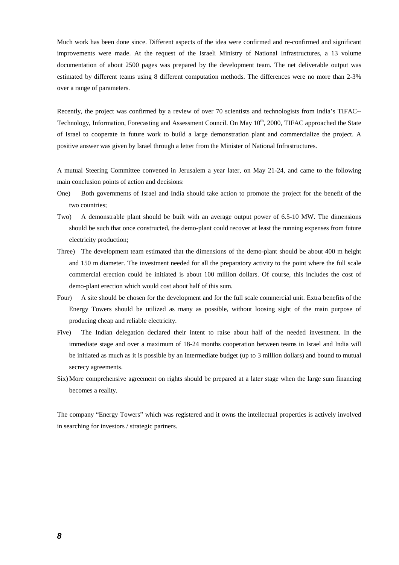Much work has been done since. Different aspects of the idea were confirmed and re-confirmed and significant improvements were made. At the request of the Israeli Ministry of National Infrastructures, a 13 volume documentation of about 2500 pages was prepared by the development team. The net deliverable output was estimated by different teams using 8 different computation methods. The differences were no more than 2-3% over a range of parameters.

Recently, the project was confirmed by a review of over 70 scientists and technologists from India's TIFAC-- Technology, Information, Forecasting and Assessment Council. On May  $10<sup>th</sup>$ , 2000, TIFAC approached the State of Israel to cooperate in future work to build a large demonstration plant and commercialize the project. A positive answer was given by Israel through a letter from the Minister of National Infrastructures.

A mutual Steering Committee convened in Jerusalem a year later, on May 21-24, and came to the following main conclusion points of action and decisions:

- One) Both governments of Israel and India should take action to promote the project for the benefit of the two countries;
- Two) A demonstrable plant should be built with an average output power of 6.5-10 MW. The dimensions should be such that once constructed, the demo-plant could recover at least the running expenses from future electricity production;
- Three) The development team estimated that the dimensions of the demo-plant should be about 400 m height and 150 m diameter. The investment needed for all the preparatory activity to the point where the full scale commercial erection could be initiated is about 100 million dollars. Of course, this includes the cost of demo-plant erection which would cost about half of this sum.
- Four) A site should be chosen for the development and for the full scale commercial unit. Extra benefits of the Energy Towers should be utilized as many as possible, without loosing sight of the main purpose of producing cheap and reliable electricity.
- Five) The Indian delegation declared their intent to raise about half of the needed investment. In the immediate stage and over a maximum of 18-24 months cooperation between teams in Israel and India will be initiated as much as it is possible by an intermediate budget (up to 3 million dollars) and bound to mutual secrecy agreements.
- Six) More comprehensive agreement on rights should be prepared at a later stage when the large sum financing becomes a reality.

The company "Energy Towers" which was registered and it owns the intellectual properties is actively involved in searching for investors / strategic partners.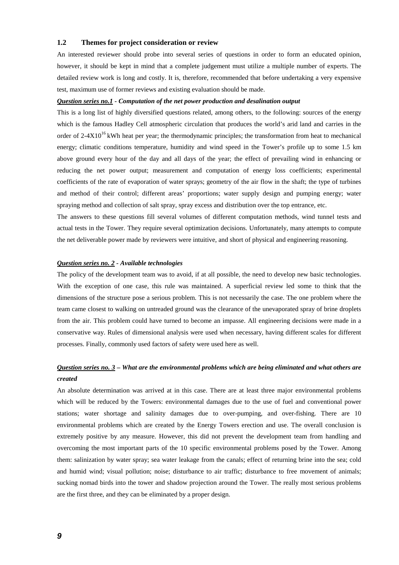#### **1.2 Themes for project consideration or review**

An interested reviewer should probe into several series of questions in order to form an educated opinion, however, it should be kept in mind that a complete judgement must utilize a multiple number of experts. The detailed review work is long and costly. It is, therefore, recommended that before undertaking a very expensive test, maximum use of former reviews and existing evaluation should be made.

#### *Question series no.1 - Computation of the net power production and desalination output*

This is a long list of highly diversified questions related, among others, to the following: sources of the energy which is the famous Hadley Cell atmospheric circulation that produces the world's arid land and carries in the order of  $2-4X10^{16}$  kWh heat per year; the thermodynamic principles; the transformation from heat to mechanical energy; climatic conditions temperature, humidity and wind speed in the Tower's profile up to some 1.5 km above ground every hour of the day and all days of the year; the effect of prevailing wind in enhancing or reducing the net power output; measurement and computation of energy loss coefficients; experimental coefficients of the rate of evaporation of water sprays; geometry of the air flow in the shaft; the type of turbines and method of their control; different areas' proportions; water supply design and pumping energy; water spraying method and collection of salt spray, spray excess and distribution over the top entrance, etc.

The answers to these questions fill several volumes of different computation methods, wind tunnel tests and actual tests in the Tower. They require several optimization decisions. Unfortunately, many attempts to compute the net deliverable power made by reviewers were intuitive, and short of physical and engineering reasoning.

#### *Question series no. 2 - Available technologies*

The policy of the development team was to avoid, if at all possible, the need to develop new basic technologies. With the exception of one case, this rule was maintained. A superficial review led some to think that the dimensions of the structure pose a serious problem. This is not necessarily the case. The one problem where the team came closest to walking on untreaded ground was the clearance of the unevaporated spray of brine droplets from the air. This problem could have turned to become an impasse. All engineering decisions were made in a conservative way. Rules of dimensional analysis were used when necessary, having different scales for different processes. Finally, commonly used factors of safety were used here as well.

## *Question series no. 3 – What are the environmental problems which are being eliminated and what others are created*

An absolute determination was arrived at in this case. There are at least three major environmental problems which will be reduced by the Towers: environmental damages due to the use of fuel and conventional power stations; water shortage and salinity damages due to over-pumping, and over-fishing. There are 10 environmental problems which are created by the Energy Towers erection and use. The overall conclusion is extremely positive by any measure. However, this did not prevent the development team from handling and overcoming the most important parts of the 10 specific environmental problems posed by the Tower. Among them: salinization by water spray; sea water leakage from the canals; effect of returning brine into the sea; cold and humid wind; visual pollution; noise; disturbance to air traffic; disturbance to free movement of animals; sucking nomad birds into the tower and shadow projection around the Tower. The really most serious problems are the first three, and they can be eliminated by a proper design.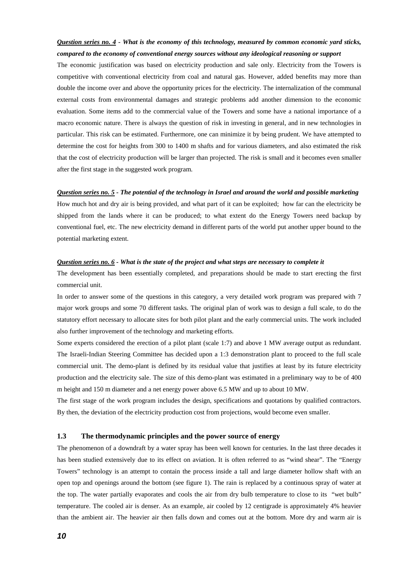# *Question series no. 4 - What is the economy of this technology, measured by common economic yard sticks, compared to the economy of conventional energy sources without any ideological reasoning or support*

The economic justification was based on electricity production and sale only. Electricity from the Towers is competitive with conventional electricity from coal and natural gas. However, added benefits may more than double the income over and above the opportunity prices for the electricity. The internalization of the communal external costs from environmental damages and strategic problems add another dimension to the economic evaluation. Some items add to the commercial value of the Towers and some have a national importance of a macro economic nature. There is always the question of risk in investing in general, and in new technologies in particular. This risk can be estimated. Furthermore, one can minimize it by being prudent. We have attempted to determine the cost for heights from 300 to 1400 m shafts and for various diameters, and also estimated the risk that the cost of electricity production will be larger than projected. The risk is small and it becomes even smaller after the first stage in the suggested work program.

#### *Question series no. 5 - The potential of the technology in Israel and around the world and possible marketing*

How much hot and dry air is being provided, and what part of it can be exploited; how far can the electricity be shipped from the lands where it can be produced; to what extent do the Energy Towers need backup by conventional fuel, etc. The new electricity demand in different parts of the world put another upper bound to the potential marketing extent.

#### *Question series no. 6 - What is the state of the project and what steps are necessary to complete it*

The development has been essentially completed, and preparations should be made to start erecting the first commercial unit.

In order to answer some of the questions in this category, a very detailed work program was prepared with 7 major work groups and some 70 different tasks. The original plan of work was to design a full scale, to do the statutory effort necessary to allocate sites for both pilot plant and the early commercial units. The work included also further improvement of the technology and marketing efforts.

Some experts considered the erection of a pilot plant (scale 1:7) and above 1 MW average output as redundant. The Israeli-Indian Steering Committee has decided upon a 1:3 demonstration plant to proceed to the full scale commercial unit. The demo-plant is defined by its residual value that justifies at least by its future electricity production and the electricity sale. The size of this demo-plant was estimated in a preliminary way to be of 400 m height and 150 m diameter and a net energy power above 6.5 MW and up to about 10 MW.

The first stage of the work program includes the design, specifications and quotations by qualified contractors. By then, the deviation of the electricity production cost from projections, would become even smaller.

#### **1.3 The thermodynamic principles and the power source of energy**

The phenomenon of a downdraft by a water spray has been well known for centuries. In the last three decades it has been studied extensively due to its effect on aviation. It is often referred to as "wind shear". The "Energy Towers" technology is an attempt to contain the process inside a tall and large diameter hollow shaft with an open top and openings around the bottom (see figure 1). The rain is replaced by a continuous spray of water at the top. The water partially evaporates and cools the air from dry bulb temperature to close to its "wet bulb" temperature. The cooled air is denser. As an example, air cooled by 12 centigrade is approximately 4% heavier than the ambient air. The heavier air then falls down and comes out at the bottom. More dry and warm air is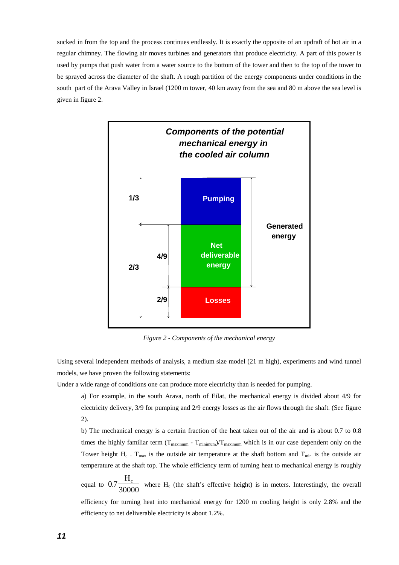sucked in from the top and the process continues endlessly. It is exactly the opposite of an updraft of hot air in a regular chimney. The flowing air moves turbines and generators that produce electricity. A part of this power is used by pumps that push water from a water source to the bottom of the tower and then to the top of the tower to be sprayed across the diameter of the shaft. A rough partition of the energy components under conditions in the south part of the Arava Valley in Israel (1200 m tower, 40 km away from the sea and 80 m above the sea level is given in figure 2.



*Figure 2 - Components of the mechanical energy* 

Using several independent methods of analysis, a medium size model (21 m high), experiments and wind tunnel models, we have proven the following statements:

Under a wide range of conditions one can produce more electricity than is needed for pumping.

a) For example, in the south Arava, north of Eilat, the mechanical energy is divided about 4/9 for electricity delivery, 3/9 for pumping and 2/9 energy losses as the air flows through the shaft. (See figure 2).

b) The mechanical energy is a certain fraction of the heat taken out of the air and is about 0.7 to 0.8 times the highly familiar term  $(T_{maximum} - T_{minimum})/T_{maximum}$  which is in our case dependent only on the Tower height  $H_c$ . T<sub>max</sub> is the outside air temperature at the shaft bottom and T<sub>min</sub> is the outside air temperature at the shaft top. The whole efficiency term of turning heat to mechanical energy is roughly

equal to  $0.7$  $30000$  where H<sub>c</sub> (the shaft's effective height) is in meters. Interestingly, the overall efficiency for turning heat into mechanical energy for 1200 m cooling height is only 2.8% and the efficiency to net deliverable electricity is about 1.2%.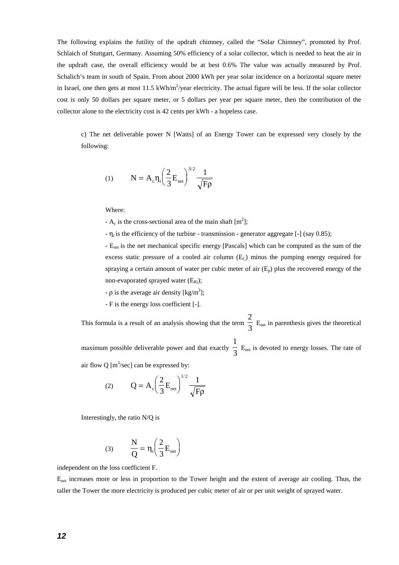The following explains the futility of the updraft chimney, called the "Solar Chimney", promoted by Prof. Schlaich of Stuttgart, Germany. Assuming 50% efficiency of a solar collector, which is needed to heat the air in the updraft case, the overall efficiency would be at best 0.6% The value was actually measured by Prof. Schalich's team in south of Spain. From about 2000 kWh per year solar incidence on a horizontal square meter in Israel, one then gets at most  $11.5 \text{ kWh/m}^2$ /year electricity. The actual figure will be less. If the solar collector cost is only 50 dollars per square meter, or 5 dollars per year per square meter, then the contribution of the collector alone to the electricity cost is 42 cents per kWh - a hopeless case.

c) The net deliverable power N [Watts] of an Energy Tower can be expressed very closely by the following:

(1) 
$$
N = A_c \eta_t \left(\frac{2}{3} E_{net}\right)^{3/2} \frac{1}{\sqrt{F\rho}}
$$

Where:

-  $A_c$  is the cross-sectional area of the main shaft  $[m^2]$ ;

 $-\eta_t$  is the efficiency of the turbine - transmission - generator aggregate [-] (say 0.85);

- E<sub>net</sub> is the net mechanical specific energy [Pascals] which can be computed as the sum of the excess static pressure of a cooled air column  $(E<sub>C</sub>)$  minus the pumping energy required for spraying a certain amount of water per cubic meter of air  $(E_n)$  plus the recovered energy of the non-evaporated sprayed water  $(E_{\text{Ri}})$ ;

- $\rho$  is the average air density [kg/m<sup>3</sup>];
- F is the energy loss coefficient [-].

This formula is a result of an analysis showing that the term 2  $\frac{1}{3}$  E<sub>net</sub> in parenthesis gives the theoretical maximum possible deliverable power and that exactly 1  $\frac{1}{3}$  E<sub>net</sub> is devoted to energy losses. The rate of air flow Q  $[m^3/\text{sec}]$  can be expressed by:

$$
(2) \qquad \mathbf{Q} = \mathbf{A}_{\rm c} \left(\frac{2}{3} \mathbf{E}_{\rm net}\right)^{1/2} \frac{1}{\sqrt{\mathrm{F}\rho}}
$$

Interestingly, the ratio N/Q is

$$
(3) \qquad \frac{N}{Q} = \eta_t \left(\frac{2}{3} E_{\text{net}}\right)
$$

independent on the loss coefficient F.

Enet increases more or less in proportion to the Tower height and the extent of average air cooling. Thus, the taller the Tower the more electricity is produced per cubic meter of air or per unit weight of sprayed water.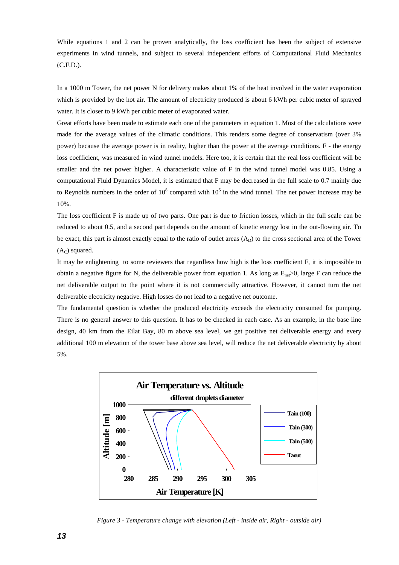While equations 1 and 2 can be proven analytically, the loss coefficient has been the subject of extensive experiments in wind tunnels, and subject to several independent efforts of Computational Fluid Mechanics (C.F.D.).

In a 1000 m Tower, the net power N for delivery makes about 1% of the heat involved in the water evaporation which is provided by the hot air. The amount of electricity produced is about 6 kWh per cubic meter of sprayed water. It is closer to 9 kWh per cubic meter of evaporated water.

Great efforts have been made to estimate each one of the parameters in equation 1. Most of the calculations were made for the average values of the climatic conditions. This renders some degree of conservatism (over 3% power) because the average power is in reality, higher than the power at the average conditions. F - the energy loss coefficient, was measured in wind tunnel models. Here too, it is certain that the real loss coefficient will be smaller and the net power higher. A characteristic value of F in the wind tunnel model was 0.85. Using a computational Fluid Dynamics Model, it is estimated that F may be decreased in the full scale to 0.7 mainly due to Reynolds numbers in the order of  $10^8$  compared with  $10^5$  in the wind tunnel. The net power increase may be 10%.

The loss coefficient F is made up of two parts. One part is due to friction losses, which in the full scale can be reduced to about 0.5, and a second part depends on the amount of kinetic energy lost in the out-flowing air. To be exact, this part is almost exactly equal to the ratio of outlet areas  $(A<sub>D</sub>)$  to the cross sectional area of the Tower  $(A<sub>C</sub>)$  squared.

It may be enlightening to some reviewers that regardless how high is the loss coefficient F, it is impossible to obtain a negative figure for N, the deliverable power from equation 1. As long as  $E_{net} > 0$ , large F can reduce the net deliverable output to the point where it is not commercially attractive. However, it cannot turn the net deliverable electricity negative. High losses do not lead to a negative net outcome.

The fundamental question is whether the produced electricity exceeds the electricity consumed for pumping. There is no general answer to this question. It has to be checked in each case. As an example, in the base line design, 40 km from the Eilat Bay, 80 m above sea level, we get positive net deliverable energy and every additional 100 m elevation of the tower base above sea level, will reduce the net deliverable electricity by about 5%.



*Figure 3 - Temperature change with elevation (Left - inside air, Right - outside air)*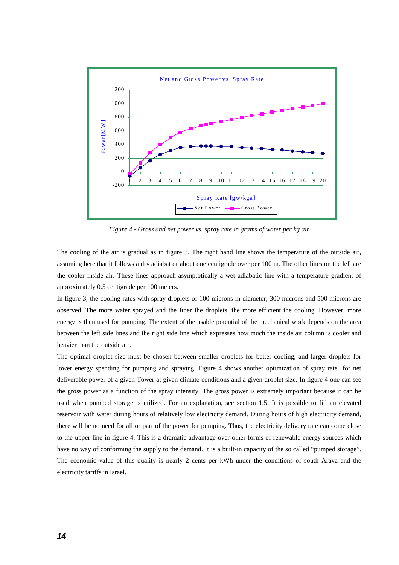

*Figure 4 - Gross and net power vs. spray rate in grams of water per kg air* 

The cooling of the air is gradual as in figure 3. The right hand line shows the temperature of the outside air, assuming here that it follows a dry adiabat or about one centigrade over per 100 m. The other lines on the left are the cooler inside air. These lines approach asymptotically a wet adiabatic line with a temperature gradient of approximately 0.5 centigrade per 100 meters.

In figure 3, the cooling rates with spray droplets of 100 microns in diameter, 300 microns and 500 microns are observed. The more water sprayed and the finer the droplets, the more efficient the cooling. However, more energy is then used for pumping. The extent of the usable potential of the mechanical work depends on the area between the left side lines and the right side line which expresses how much the inside air column is cooler and heavier than the outside air.

The optimal droplet size must be chosen between smaller droplets for better cooling, and larger droplets for lower energy spending for pumping and spraying. Figure 4 shows another optimization of spray rate for net deliverable power of a given Tower at given climate conditions and a given droplet size. In figure 4 one can see the gross power as a function of the spray intensity. The gross power is extremely important because it can be used when pumped storage is utilized. For an explanation, see section 1.5. It is possible to fill an elevated reservoir with water during hours of relatively low electricity demand. During hours of high electricity demand, there will be no need for all or part of the power for pumping. Thus, the electricity delivery rate can come close to the upper line in figure 4. This is a dramatic advantage over other forms of renewable energy sources which have no way of conforming the supply to the demand. It is a built-in capacity of the so called "pumped storage". The economic value of this quality is nearly 2 cents per kWh under the conditions of south Arava and the electricity tariffs in Israel.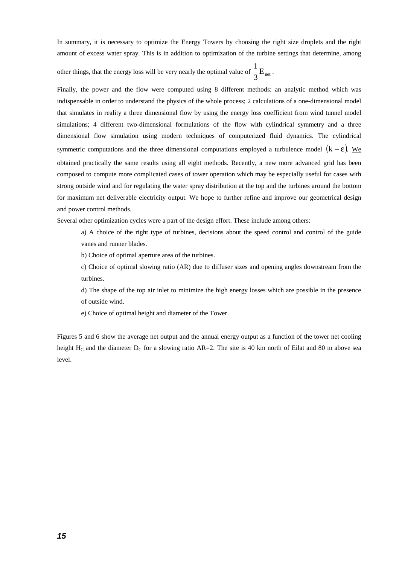In summary, it is necessary to optimize the Energy Towers by choosing the right size droplets and the right amount of excess water spray. This is in addition to optimization of the turbine settings that determine, among

other things, that the energy loss will be very nearly the optimal value of  $\frac{1}{3}E_{net}$ .

Finally, the power and the flow were computed using 8 different methods: an analytic method which was indispensable in order to understand the physics of the whole process; 2 calculations of a one-dimensional model that simulates in reality a three dimensional flow by using the energy loss coefficient from wind tunnel model simulations; 4 different two-dimensional formulations of the flow with cylindrical symmetry and a three dimensional flow simulation using modern techniques of computerized fluid dynamics. The cylindrical symmetric computations and the three dimensional computations employed a turbulence model  $(k - \varepsilon)$ . We obtained practically the same results using all eight methods. Recently, a new more advanced grid has been composed to compute more complicated cases of tower operation which may be especially useful for cases with strong outside wind and for regulating the water spray distribution at the top and the turbines around the bottom for maximum net deliverable electricity output. We hope to further refine and improve our geometrical design and power control methods.

Several other optimization cycles were a part of the design effort. These include among others:

a) A choice of the right type of turbines, decisions about the speed control and control of the guide vanes and runner blades.

b) Choice of optimal aperture area of the turbines.

c) Choice of optimal slowing ratio (AR) due to diffuser sizes and opening angles downstream from the turbines.

d) The shape of the top air inlet to minimize the high energy losses which are possible in the presence of outside wind.

e) Choice of optimal height and diameter of the Tower.

Figures 5 and 6 show the average net output and the annual energy output as a function of the tower net cooling height  $H_C$  and the diameter  $D_C$  for a slowing ratio AR=2. The site is 40 km north of Eilat and 80 m above sea level.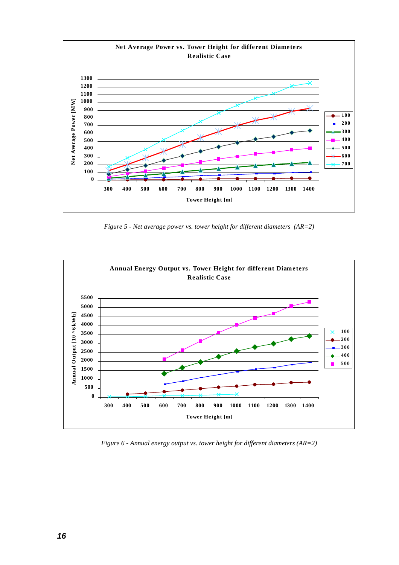

*Figure 5 - Net average power vs. tower height for different diameters (AR=2)* 



*Figure 6 - Annual energy output vs. tower height for different diameters (AR=2)*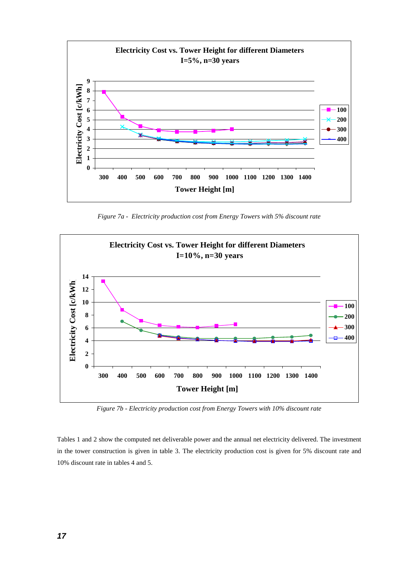

*Figure 7a - Electricity production cost from Energy Towers with 5% discount rate* 



*Figure 7b - Electricity production cost from Energy Towers with 10% discount rate* 

Tables 1 and 2 show the computed net deliverable power and the annual net electricity delivered. The investment in the tower construction is given in table 3. The electricity production cost is given for 5% discount rate and 10% discount rate in tables 4 and 5.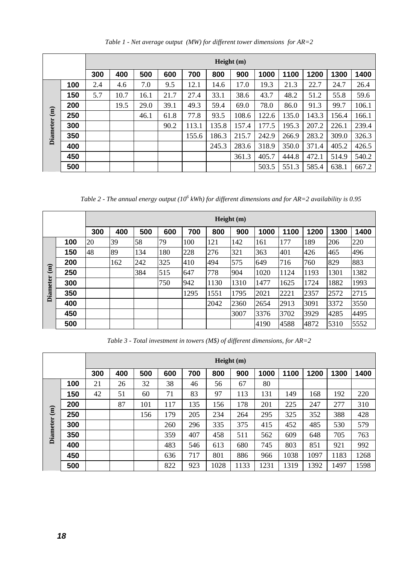|                 |     |     |                                                                                |      |      |       |       | Height (m) |       |       |       |       |       |
|-----------------|-----|-----|--------------------------------------------------------------------------------|------|------|-------|-------|------------|-------|-------|-------|-------|-------|
|                 |     | 300 | 500<br>1400<br>700<br>800<br>900<br>1000<br>1100<br>1200<br>1300<br>400<br>600 |      |      |       |       |            |       |       |       |       |       |
|                 | 100 | 2.4 | 4.6                                                                            | 7.0  | 9.5  | 12.1  | 14.6  | 17.0       | 19.3  | 21.3  | 22.7  | 24.7  | 26.4  |
|                 | 150 | 5.7 | 10.7                                                                           | 16.1 | 21.7 | 27.4  | 33.1  | 38.6       | 43.7  | 48.2  | 51.2  | 55.8  | 59.6  |
|                 | 200 |     | 19.5                                                                           | 29.0 | 39.1 | 49.3  | 59.4  | 69.0       | 78.0  | 86.0  | 91.3  | 99.7  | 106.1 |
| $\binom{m}{m}$  | 250 |     |                                                                                | 46.1 | 61.8 | 77.8  | 93.5  | 108.6      | 122.6 | 135.0 | 143.3 | 156.4 | 166.1 |
| <b>Diameter</b> | 300 |     |                                                                                |      | 90.2 | 113.1 | 135.8 | 157.4      | 177.5 | 195.3 | 207.2 | 226.1 | 239.4 |
|                 | 350 |     |                                                                                |      |      | 155.6 | 186.3 | 215.7      | 242.9 | 266.9 | 283.2 | 309.0 | 326.3 |
|                 | 400 |     |                                                                                |      |      |       | 245.3 | 283.6      | 318.9 | 350.0 | 371.4 | 405.2 | 426.5 |
|                 | 450 |     |                                                                                |      |      |       |       | 361.3      | 405.7 | 444.8 | 472.1 | 514.9 | 540.2 |
|                 | 500 |     |                                                                                |      |      |       |       |            | 503.5 | 551.3 | 585.4 | 638.1 | 667.2 |

*Table 1 - Net average output (MW) for different tower dimensions for AR=2* 

*Table 2 - The annual energy output (10<sup>6</sup> kWh) for different dimensions and for AR=2 availability is 0.95*

|                 |     |     |     |     |     |      |      | Height (m) |      |      |      |      |      |
|-----------------|-----|-----|-----|-----|-----|------|------|------------|------|------|------|------|------|
|                 |     | 300 | 400 | 500 | 600 | 700  | 800  | 900        | 1000 | 1100 | 1200 | 1300 | 1400 |
|                 | 100 | 20  | 39  | 58  | 79  | 100  | 121  | 142        | 161  | 177  | 189  | 206  | 220  |
|                 | 150 | 48  | 89  | 134 | 180 | 228  | 276  | 321        | 363  | 401  | 426  | 465  | 496  |
|                 | 200 |     | 162 | 242 | 325 | 410  | 494  | 575        | 649  | 716  | 760  | 829  | 883  |
| $\widehat{a}$   | 250 |     |     | 384 | 515 | 647  | 778  | 904        | 1020 | 1124 | 1193 | 1301 | 1382 |
|                 | 300 |     |     |     | 750 | 942  | 1130 | 1310       | 1477 | 1625 | 1724 | 1882 | 1993 |
| <b>Diameter</b> | 350 |     |     |     |     | 1295 | 1551 | 1795       | 2021 | 2221 | 2357 | 2572 | 2715 |
|                 | 400 |     |     |     |     |      | 2042 | 2360       | 2654 | 2913 | 3091 | 3372 | 3550 |
|                 | 450 |     |     |     |     |      |      | 3007       | 3376 | 3702 | 3929 | 4285 | 4495 |
|                 | 500 |     |     |     |     |      |      |            | 4190 | 4588 | 4872 | 5310 | 5552 |

*Table 3 - Total investment in towers (M\$) of different dimensions, for AR=2* 

|                 |     |     |                                                                                |     |     |     |      | Height (m) |      |      |      |      |      |
|-----------------|-----|-----|--------------------------------------------------------------------------------|-----|-----|-----|------|------------|------|------|------|------|------|
|                 |     | 300 | 500<br>600<br>700<br>800<br>900<br>1000<br>1100<br>1200<br>1300<br>1400<br>400 |     |     |     |      |            |      |      |      |      |      |
|                 | 100 | 21  | 26                                                                             | 32  | 38  | 46  | 56   | 67         | 80   |      |      |      |      |
|                 | 150 | 42  | 51                                                                             | 60  | 71  | 83  | 97   | 113        | 131  | 149  | 168  | 192  | 220  |
|                 | 200 |     | 87                                                                             | 101 | 117 | 135 | 156  | 178        | 201  | 225  | 247  | 277  | 310  |
| $\mathbf{m}$    | 250 |     |                                                                                | 156 | 179 | 205 | 234  | 264        | 295  | 325  | 352  | 388  | 428  |
| <b>Diameter</b> | 300 |     |                                                                                |     | 260 | 296 | 335  | 375        | 415  | 452  | 485  | 530  | 579  |
|                 | 350 |     |                                                                                |     | 359 | 407 | 458  | 511        | 562  | 609  | 648  | 705  | 763  |
|                 | 400 |     |                                                                                |     | 483 | 546 | 613  | 680        | 745  | 803  | 851  | 921  | 992  |
|                 | 450 |     |                                                                                |     | 636 | 717 | 801  | 886        | 966  | 1038 | 1097 | 1183 | 1268 |
|                 | 500 |     |                                                                                |     | 822 | 923 | 1028 | 1133       | 1231 | 1319 | 1392 | 1497 | 1598 |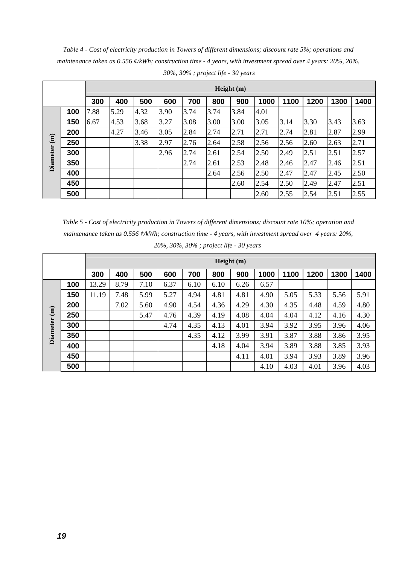*Table 4 - Cost of electricity production in Towers of different dimensions; discount rate 5%; operations and maintenance taken as 0.556 ¢/kWh; construction time - 4 years, with investment spread over 4 years: 20%, 20%, 30%, 30% ; project life - 30 years*

|                 |     |      |      |      |      |      |      | Height (m) |      |      |      |      |      |
|-----------------|-----|------|------|------|------|------|------|------------|------|------|------|------|------|
|                 |     | 300  | 400  | 500  | 600  | 700  | 800  | 900        | 1000 | 1100 | 1200 | 1300 | 1400 |
|                 | 100 | 7.88 | 5.29 | 4.32 | 3.90 | 3.74 | 3.74 | 3.84       | 4.01 |      |      |      |      |
|                 | 150 | 6.67 | 4.53 | 3.68 | 3.27 | 3.08 | 3.00 | 3.00       | 3.05 | 3.14 | 3.30 | 3.43 | 3.63 |
|                 | 200 |      | 4.27 | 3.46 | 3.05 | 2.84 | 2.74 | 2.71       | 2.71 | 2.74 | 2.81 | 2.87 | 2.99 |
| $\binom{m}{m}$  | 250 |      |      | 3.38 | 2.97 | 2.76 | 2.64 | 2.58       | 2.56 | 2.56 | 2.60 | 2.63 | 2.71 |
| <b>Diameter</b> | 300 |      |      |      | 2.96 | 2.74 | 2.61 | 2.54       | 2.50 | 2.49 | 2.51 | 2.51 | 2.57 |
|                 | 350 |      |      |      |      | 2.74 | 2.61 | 2.53       | 2.48 | 2.46 | 2.47 | 2.46 | 2.51 |
|                 | 400 |      |      |      |      |      | 2.64 | 2.56       | 2.50 | 2.47 | 2.47 | 2.45 | 2.50 |
|                 | 450 |      |      |      |      |      |      | 2.60       | 2.54 | 2.50 | 2.49 | 2.47 | 2.51 |
|                 | 500 |      |      |      |      |      |      |            | 2.60 | 2.55 | 2.54 | 2.51 | 2.55 |

*Table 5 - Cost of electricity production in Towers of different dimensions; discount rate 10%; operation and maintenance taken as 0.556 ¢/kWh; construction time - 4 years, with investment spread over 4 years: 20%, 20%, 30%, 30% ; project life - 30 years* 

|                 |     |       |                                                                                |      |      |      |      | Height (m) |      |      |      |      |      |
|-----------------|-----|-------|--------------------------------------------------------------------------------|------|------|------|------|------------|------|------|------|------|------|
|                 |     | 300   | 500<br>700<br>1400<br>400<br>800<br>900<br>1000<br>1100<br>1200<br>1300<br>600 |      |      |      |      |            |      |      |      |      |      |
|                 | 100 | 13.29 | 8.79                                                                           | 7.10 | 6.37 | 6.10 | 6.10 | 6.26       | 6.57 |      |      |      |      |
|                 | 150 | 11.19 | 7.48                                                                           | 5.99 | 5.27 | 4.94 | 4.81 | 4.81       | 4.90 | 5.05 | 5.33 | 5.56 | 5.91 |
|                 | 200 |       | 7.02                                                                           | 5.60 | 4.90 | 4.54 | 4.36 | 4.29       | 4.30 | 4.35 | 4.48 | 4.59 | 4.80 |
| $\binom{m}{m}$  | 250 |       |                                                                                | 5.47 | 4.76 | 4.39 | 4.19 | 4.08       | 4.04 | 4.04 | 4.12 | 4.16 | 4.30 |
| <b>Diameter</b> | 300 |       |                                                                                |      | 4.74 | 4.35 | 4.13 | 4.01       | 3.94 | 3.92 | 3.95 | 3.96 | 4.06 |
|                 | 350 |       |                                                                                |      |      | 4.35 | 4.12 | 3.99       | 3.91 | 3.87 | 3.88 | 3.86 | 3.95 |
|                 | 400 |       |                                                                                |      |      |      | 4.18 | 4.04       | 3.94 | 3.89 | 3.88 | 3.85 | 3.93 |
|                 | 450 |       |                                                                                |      |      |      |      | 4.11       | 4.01 | 3.94 | 3.93 | 3.89 | 3.96 |
|                 | 500 |       |                                                                                |      |      |      |      |            | 4.10 | 4.03 | 4.01 | 3.96 | 4.03 |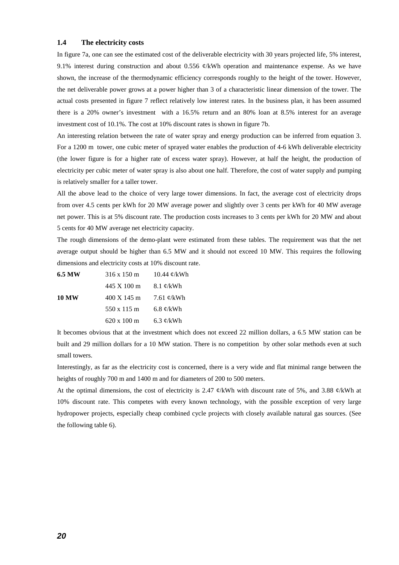#### **1.4 The electricity costs**

In figure 7a, one can see the estimated cost of the deliverable electricity with 30 years projected life, 5% interest, 9.1% interest during construction and about 0.556 ¢/kWh operation and maintenance expense. As we have shown, the increase of the thermodynamic efficiency corresponds roughly to the height of the tower. However, the net deliverable power grows at a power higher than 3 of a characteristic linear dimension of the tower. The actual costs presented in figure 7 reflect relatively low interest rates. In the business plan, it has been assumed there is a 20% owner's investment with a 16.5% return and an 80% loan at 8.5% interest for an average investment cost of 10.1%. The cost at 10% discount rates is shown in figure 7b.

An interesting relation between the rate of water spray and energy production can be inferred from equation 3. For a 1200 m tower, one cubic meter of sprayed water enables the production of 4-6 kWh deliverable electricity (the lower figure is for a higher rate of excess water spray). However, at half the height, the production of electricity per cubic meter of water spray is also about one half. Therefore, the cost of water supply and pumping is relatively smaller for a taller tower.

All the above lead to the choice of very large tower dimensions. In fact, the average cost of electricity drops from over 4.5 cents per kWh for 20 MW average power and slightly over 3 cents per kWh for 40 MW average net power. This is at 5% discount rate. The production costs increases to 3 cents per kWh for 20 MW and about 5 cents for 40 MW average net electricity capacity.

The rough dimensions of the demo-plant were estimated from these tables. The requirement was that the net average output should be higher than 6.5 MW and it should not exceed 10 MW. This requires the following dimensions and electricity costs at 10% discount rate.

| 6.5 MW       | 316 x 150 m                   | 10.44 $\mathcal{C}/kWh$ |
|--------------|-------------------------------|-------------------------|
|              | 445 X 100 m                   | 8.1 $\mathcal{C}/kWh$   |
| <b>10 MW</b> | $400 \text{ X} 145 \text{ m}$ | 7.61 $\mathcal{C}/kWh$  |
|              | 550 x 115 m                   | 6.8 $\mathcal{C}/kWh$   |
|              | 620 x 100 m                   | 6.3 $\mathcal{C}/kWh$   |

It becomes obvious that at the investment which does not exceed 22 million dollars, a 6.5 MW station can be built and 29 million dollars for a 10 MW station. There is no competition by other solar methods even at such small towers.

Interestingly, as far as the electricity cost is concerned, there is a very wide and flat minimal range between the heights of roughly 700 m and 1400 m and for diameters of 200 to 500 meters.

At the optimal dimensions, the cost of electricity is 2.47  $\phi$ /kWh with discount rate of 5%, and 3.88  $\phi$ /kWh at 10% discount rate. This competes with every known technology, with the possible exception of very large hydropower projects, especially cheap combined cycle projects with closely available natural gas sources. (See the following table 6).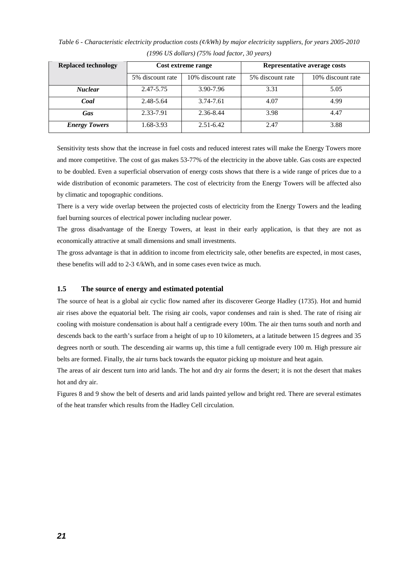| <b>Replaced technology</b> |                  | Cost extreme range | Representative average costs |                   |  |  |
|----------------------------|------------------|--------------------|------------------------------|-------------------|--|--|
|                            | 5% discount rate | 10% discount rate  | 5% discount rate             | 10% discount rate |  |  |
| <b>Nuclear</b>             | 2.47-5.75        | 3.90-7.96          | 3.31                         | 5.05              |  |  |
| Coal                       | 2.48-5.64        | 3.74-7.61          | 4.07                         | 4.99              |  |  |
| Gas                        | 2.33-7.91        | 2.36-8.44          | 3.98                         | 4.47              |  |  |
| <b>Energy Towers</b>       | 1.68-3.93        | $2.51 - 6.42$      | 2.47                         | 3.88              |  |  |

*Table 6 - Characteristic electricity production costs (¢/kWh) by major electricity suppliers, for years 2005-2010 (1996 US dollars) (75% load factor, 30 years)* 

Sensitivity tests show that the increase in fuel costs and reduced interest rates will make the Energy Towers more and more competitive. The cost of gas makes 53-77% of the electricity in the above table. Gas costs are expected to be doubled. Even a superficial observation of energy costs shows that there is a wide range of prices due to a wide distribution of economic parameters. The cost of electricity from the Energy Towers will be affected also by climatic and topographic conditions.

There is a very wide overlap between the projected costs of electricity from the Energy Towers and the leading fuel burning sources of electrical power including nuclear power.

The gross disadvantage of the Energy Towers, at least in their early application, is that they are not as economically attractive at small dimensions and small investments.

The gross advantage is that in addition to income from electricity sale, other benefits are expected, in most cases, these benefits will add to 2-3  $\phi$ /kWh, and in some cases even twice as much.

#### **1.5 The source of energy and estimated potential**

The source of heat is a global air cyclic flow named after its discoverer George Hadley (1735). Hot and humid air rises above the equatorial belt. The rising air cools, vapor condenses and rain is shed. The rate of rising air cooling with moisture condensation is about half a centigrade every 100m. The air then turns south and north and descends back to the earth's surface from a height of up to 10 kilometers, at a latitude between 15 degrees and 35 degrees north or south. The descending air warms up, this time a full centigrade every 100 m. High pressure air belts are formed. Finally, the air turns back towards the equator picking up moisture and heat again.

The areas of air descent turn into arid lands. The hot and dry air forms the desert; it is not the desert that makes hot and dry air.

Figures 8 and 9 show the belt of deserts and arid lands painted yellow and bright red. There are several estimates of the heat transfer which results from the Hadley Cell circulation.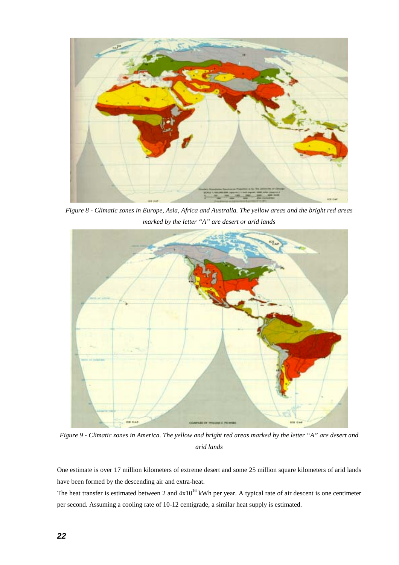

*Figure 8 - Climatic zones in Europe, Asia, Africa and Australia. The yellow areas and the bright red areas marked by the letter "A" are desert or arid lands* 



*Figure 9 - Climatic zones in America. The yellow and bright red areas marked by the letter "A" are desert and arid lands* 

One estimate is over 17 million kilometers of extreme desert and some 25 million square kilometers of arid lands have been formed by the descending air and extra-heat.

The heat transfer is estimated between 2 and  $4x10^{16}$  kWh per year. A typical rate of air descent is one centimeter per second. Assuming a cooling rate of 10-12 centigrade, a similar heat supply is estimated.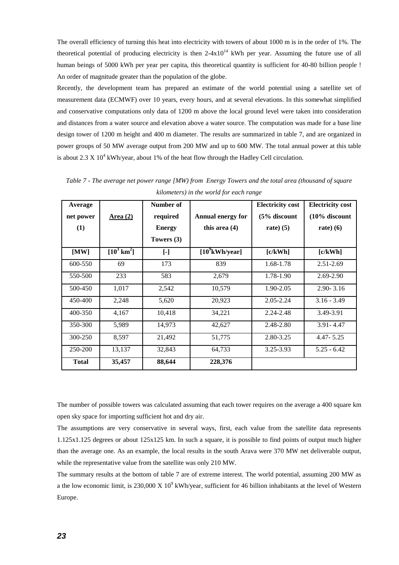The overall efficiency of turning this heat into electricity with towers of about 1000 m is in the order of 1%. The theoretical potential of producing electricity is then  $2-4x10^{14}$  kWh per year. Assuming the future use of all human beings of 5000 kWh per year per capita, this theoretical quantity is sufficient for 40-80 billion people ! An order of magnitude greater than the population of the globe.

Recently, the development team has prepared an estimate of the world potential using a satellite set of measurement data (ECMWF) over 10 years, every hours, and at several elevations. In this somewhat simplified and conservative computations only data of 1200 m above the local ground level were taken into consideration and distances from a water source and elevation above a water source. The computation was made for a base line design tower of 1200 m height and 400 m diameter. The results are summarized in table 7, and are organized in power groups of 50 MW average output from 200 MW and up to 600 MW. The total annual power at this table is about 2.3 X  $10^4$  kWh/year, about 1% of the heat flow through the Hadley Cell circulation.

| Average<br>net power<br>(1) | <u>Area (2)</u>       | Number of<br>required<br><b>Energy</b><br>Towers $(3)$ | <b>Annual energy for</b><br>this area $(4)$ | <b>Electricity cost</b><br>$(5%$ discount<br>rate $(5)$ | <b>Electricity cost</b><br>$(10\%$ discount<br>rate $(6)$ |
|-----------------------------|-----------------------|--------------------------------------------------------|---------------------------------------------|---------------------------------------------------------|-----------------------------------------------------------|
| [MW]                        | $[10^3 \text{ km}^2]$ | $[\cdot]$                                              | $[10^9$ kWh/year]                           | [c/kWh]                                                 | [c/kWh]                                                   |
| 600-550                     | 69                    | 173                                                    | 839                                         | 1.68-1.78                                               | 2.51-2.69                                                 |
| 550-500                     | 233                   | 583                                                    | 2,679                                       | 1.78-1.90                                               | $2.69 - 2.90$                                             |
| 500-450                     | 1,017                 | 2,542                                                  | 10,579                                      | 1.90-2.05                                               | $2.90 - 3.16$                                             |
| 450-400                     | 2,248                 | 5,620                                                  | 20,923                                      | $2.05 - 2.24$                                           | $3.16 - 3.49$                                             |
| 400-350                     | 4,167                 | 10,418                                                 | 34,221                                      | 2.24-2.48                                               | 3.49-3.91                                                 |
| 350-300                     | 5,989                 | 14,973                                                 | 42,627                                      | 2.48-2.80                                               | $3.91 - 4.47$                                             |
| 300-250                     | 8,597                 | 21,492                                                 | 51,775                                      | 2.80-3.25                                               | $4.47 - 5.25$                                             |
| 250-200                     | 13,137                | 32,843                                                 | 64,733                                      | 3.25-3.93                                               | $5.25 - 6.42$                                             |
| <b>Total</b>                | 35,457                | 88,644                                                 | 228,376                                     |                                                         |                                                           |

*Table 7 - The average net power range [MW) from Energy Towers and the total area (thousand of square kilometers) in the world for each range* 

The number of possible towers was calculated assuming that each tower requires on the average a 400 square km open sky space for importing sufficient hot and dry air.

The assumptions are very conservative in several ways, first, each value from the satellite data represents 1.125x1.125 degrees or about 125x125 km. In such a square, it is possible to find points of output much higher than the average one. As an example, the local results in the south Arava were 370 MW net deliverable output, while the representative value from the satellite was only 210 MW.

The summary results at the bottom of table 7 are of extreme interest. The world potential, assuming 200 MW as a the low economic limit, is 230,000 X  $10^9$  kWh/year, sufficient for 46 billion inhabitants at the level of Western Europe.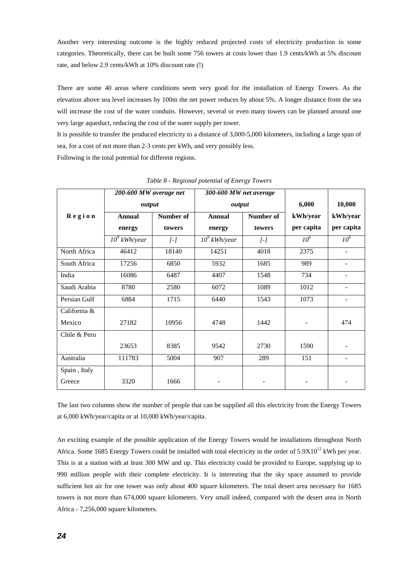Another very interesting outcome is the highly reduced projected costs of electricity production in some categories. Theoretically, there can be built some 756 towers at costs lower than 1.9 cents/kWh at 5% discount rate, and below 2.9 cents/kWh at 10% discount rate (!)

There are some 40 areas where conditions seem very good for the installation of Energy Towers. As the elevation above sea level increases by 100m the net power reduces by about 5%. A longer distance from the sea will increase the cost of the water conduits. However, several or even many towers can be planned around one very large aqueduct, reducing the cost of the water supply per tower.

It is possible to transfer the produced electricity to a distance of 3,000-5,000 kilometers, including a large span of sea, for a cost of not more than 2-3 cents per kWh, and very possibly less. Following is the total potential for different regions.

|              | 200-600 MW average net |                   | 300-600 MW net average |                     |                          |                          |
|--------------|------------------------|-------------------|------------------------|---------------------|--------------------------|--------------------------|
|              | output                 |                   | output                 |                     | 6,000                    | 10,000                   |
| Region       | <b>Annual</b>          | <b>Number of</b>  | <b>Annual</b>          | Number of           | kWh/year                 | kWh/year                 |
|              | energy                 | towers            | energy                 | towers              | per capita               | per capita               |
|              | $10^9$ kWh/year        | $\left[ -\right]$ | $10^9$ kWh/year        | $\lbrack - \rbrack$ | $10^6$                   | 10 <sup>6</sup>          |
| North Africa | 46412                  | 18140             | 14251                  | 4018                | 2375                     | ÷,                       |
| South Africa | 17256                  | 6850              | 5932                   | 1685                | 989                      | $\overline{\phantom{a}}$ |
| India        | 16086                  | 6487              | 4407                   | 1548                | 734                      | ÷.                       |
| Saudi Arabia | 8780                   | 2580              | 6072                   | 1089                | 1012                     |                          |
| Persian Gulf | 6884                   | 1715              | 6440                   | 1543                | 1073                     | $\overline{\phantom{0}}$ |
| California & |                        |                   |                        |                     |                          |                          |
| Mexico       | 27182                  | 10956             | 4748                   | 1442                | $\overline{\phantom{a}}$ | 474                      |
| Chile & Peru |                        |                   |                        |                     |                          |                          |
|              | 23653                  | 8385              | 9542                   | 2730                | 1590                     |                          |
| Australia    | 111783                 | 5004              | 907                    | 289                 | 151                      |                          |
| Spain, Italy |                        |                   |                        |                     |                          |                          |
| Greece       | 3320                   | 1666              |                        |                     |                          |                          |

*Table 8 - Regional potential of Energy Towers* 

The last two columns show the number of people that can be supplied all this electricity from the Energy Towers at 6,000 kWh/year/capita or at 10,000 kWh/year/capita.

An exciting example of the possible application of the Energy Towers would be installations throughout North Africa. Some 1685 Energy Towers could be installed with total electricity in the order of  $5.9X10^{12}$  kWh per year. This is at a station with at least 300 MW and up. This electricity could be provided to Europe, supplying up to 990 million people with their complete electricity. It is interesting that the sky space assumed to provide sufficient hot air for one tower was only about 400 square kilometers. The total desert area necessary for 1685 towers is not more than 674,000 square kilometers. Very small indeed, compared with the desert area in North Africa - 7,256,000 square kilometers.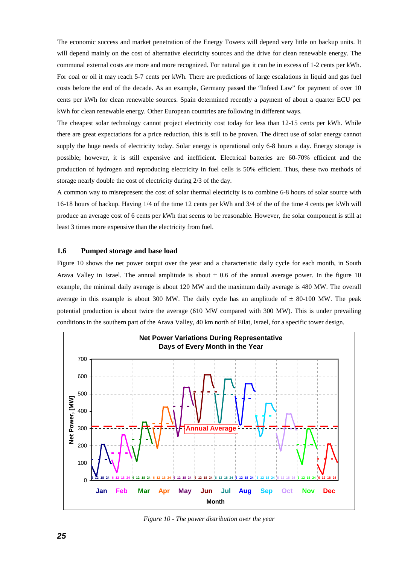The economic success and market penetration of the Energy Towers will depend very little on backup units. It will depend mainly on the cost of alternative electricity sources and the drive for clean renewable energy. The communal external costs are more and more recognized. For natural gas it can be in excess of 1-2 cents per kWh. For coal or oil it may reach 5-7 cents per kWh. There are predictions of large escalations in liquid and gas fuel costs before the end of the decade. As an example, Germany passed the "Infeed Law" for payment of over 10 cents per kWh for clean renewable sources. Spain determined recently a payment of about a quarter ECU per kWh for clean renewable energy. Other European countries are following in different ways.

The cheapest solar technology cannot project electricity cost today for less than 12-15 cents per kWh. While there are great expectations for a price reduction, this is still to be proven. The direct use of solar energy cannot supply the huge needs of electricity today. Solar energy is operational only 6-8 hours a day. Energy storage is possible; however, it is still expensive and inefficient. Electrical batteries are 60-70% efficient and the production of hydrogen and reproducing electricity in fuel cells is 50% efficient. Thus, these two methods of storage nearly double the cost of electricity during 2/3 of the day.

A common way to misrepresent the cost of solar thermal electricity is to combine 6-8 hours of solar source with 16-18 hours of backup. Having 1/4 of the time 12 cents per kWh and 3/4 of the of the time 4 cents per kWh will produce an average cost of 6 cents per kWh that seems to be reasonable. However, the solar component is still at least 3 times more expensive than the electricity from fuel.

#### **1.6 Pumped storage and base load**

Figure 10 shows the net power output over the year and a characteristic daily cycle for each month, in South Arava Valley in Israel. The annual amplitude is about  $\pm$  0.6 of the annual average power. In the figure 10 example, the minimal daily average is about 120 MW and the maximum daily average is 480 MW. The overall average in this example is about 300 MW. The daily cycle has an amplitude of  $\pm$  80-100 MW. The peak potential production is about twice the average (610 MW compared with 300 MW). This is under prevailing conditions in the southern part of the Arava Valley, 40 km north of Eilat, Israel, for a specific tower design.



*Figure 10 - The power distribution over the year*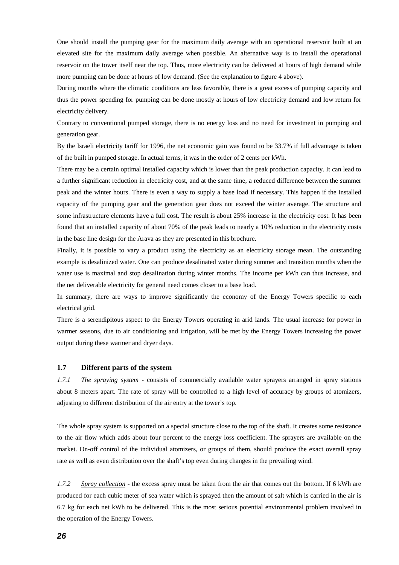One should install the pumping gear for the maximum daily average with an operational reservoir built at an elevated site for the maximum daily average when possible. An alternative way is to install the operational reservoir on the tower itself near the top. Thus, more electricity can be delivered at hours of high demand while more pumping can be done at hours of low demand. (See the explanation to figure 4 above).

During months where the climatic conditions are less favorable, there is a great excess of pumping capacity and thus the power spending for pumping can be done mostly at hours of low electricity demand and low return for electricity delivery.

Contrary to conventional pumped storage, there is no energy loss and no need for investment in pumping and generation gear.

By the Israeli electricity tariff for 1996, the net economic gain was found to be 33.7% if full advantage is taken of the built in pumped storage. In actual terms, it was in the order of 2 cents per kWh.

There may be a certain optimal installed capacity which is lower than the peak production capacity. It can lead to a further significant reduction in electricity cost, and at the same time, a reduced difference between the summer peak and the winter hours. There is even a way to supply a base load if necessary. This happen if the installed capacity of the pumping gear and the generation gear does not exceed the winter average. The structure and some infrastructure elements have a full cost. The result is about 25% increase in the electricity cost. It has been found that an installed capacity of about 70% of the peak leads to nearly a 10% reduction in the electricity costs in the base line design for the Arava as they are presented in this brochure.

Finally, it is possible to vary a product using the electricity as an electricity storage mean. The outstanding example is desalinized water. One can produce desalinated water during summer and transition months when the water use is maximal and stop desalination during winter months. The income per kWh can thus increase, and the net deliverable electricity for general need comes closer to a base load.

In summary, there are ways to improve significantly the economy of the Energy Towers specific to each electrical grid.

There is a serendipitous aspect to the Energy Towers operating in arid lands. The usual increase for power in warmer seasons, due to air conditioning and irrigation, will be met by the Energy Towers increasing the power output during these warmer and dryer days.

#### **1.7 Different parts of the system**

*1.7.1 The spraying system* - consists of commercially available water sprayers arranged in spray stations about 8 meters apart. The rate of spray will be controlled to a high level of accuracy by groups of atomizers, adjusting to different distribution of the air entry at the tower's top.

The whole spray system is supported on a special structure close to the top of the shaft. It creates some resistance to the air flow which adds about four percent to the energy loss coefficient. The sprayers are available on the market. On-off control of the individual atomizers, or groups of them, should produce the exact overall spray rate as well as even distribution over the shaft's top even during changes in the prevailing wind.

*1.7.2 Spray collection* - the excess spray must be taken from the air that comes out the bottom. If 6 kWh are produced for each cubic meter of sea water which is sprayed then the amount of salt which is carried in the air is 6.7 kg for each net kWh to be delivered. This is the most serious potential environmental problem involved in the operation of the Energy Towers.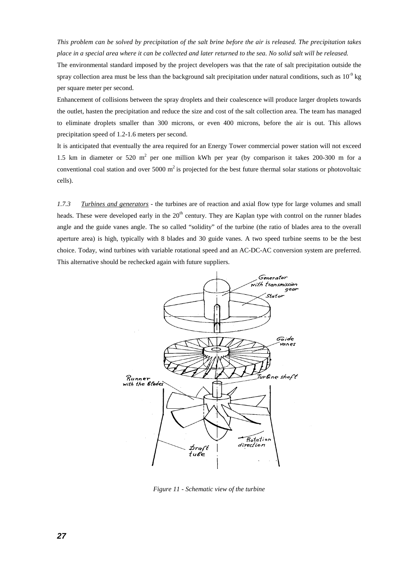*This problem can be solved by precipitation of the salt brine before the air is released. The precipitation takes place in a special area where it can be collected and later returned to the sea. No solid salt will be released.* 

The environmental standard imposed by the project developers was that the rate of salt precipitation outside the spray collection area must be less than the background salt precipitation under natural conditions, such as  $10^{-9}$  kg per square meter per second.

Enhancement of collisions between the spray droplets and their coalescence will produce larger droplets towards the outlet, hasten the precipitation and reduce the size and cost of the salt collection area. The team has managed to eliminate droplets smaller than 300 microns, or even 400 microns, before the air is out. This allows precipitation speed of 1.2-1.6 meters per second.

It is anticipated that eventually the area required for an Energy Tower commercial power station will not exceed 1.5 km in diameter or 520 m<sup>2</sup> per one million kWh per year (by comparison it takes 200-300 m for a conventional coal station and over 5000  $m^2$  is projected for the best future thermal solar stations or photovoltaic cells).

*1.7.3 Turbines and generators -* the turbines are of reaction and axial flow type for large volumes and small heads. These were developed early in the  $20<sup>th</sup>$  century. They are Kaplan type with control on the runner blades angle and the guide vanes angle. The so called "solidity" of the turbine (the ratio of blades area to the overall aperture area) is high, typically with 8 blades and 30 guide vanes. A two speed turbine seems to be the best choice. Today, wind turbines with variable rotational speed and an AC-DC-AC conversion system are preferred. This alternative should be rechecked again with future suppliers.



*Figure 11 - Schematic view of the turbine*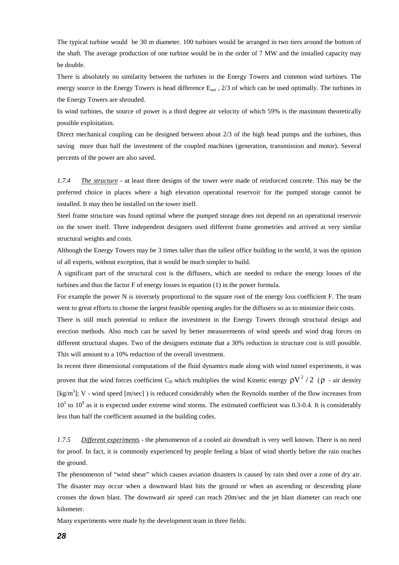The typical turbine would be 30 m diameter. 100 turbines would be arranged in two tiers around the bottom of the shaft. The average production of one turbine would be in the order of 7 MW and the installed capacity may be double.

There is absolutely no similarity between the turbines in the Energy Towers and common wind turbines. The energy source in the Energy Towers is head difference E<sub>net</sub>, 2/3 of which can be used optimally. The turbines in the Energy Towers are shrouded.

In wind turbines, the source of power is a third degree air velocity of which 59% is the maximum theoretically possible exploitation.

Direct mechanical coupling can be designed between about 2/3 of the high head pumps and the turbines, thus saving more than half the investment of the coupled machines (generation, transmission and motor). Several percents of the power are also saved.

*1.7.4 The structure* - at least three designs of the tower were made of reinforced concrete. This may be the preferred choice in places where a high elevation operational reservoir for the pumped storage cannot be installed. It may then be installed on the tower itself.

Steel frame structure was found optimal where the pumped storage does not depend on an operational reservoir on the tower itself. Three independent designers used different frame geometries and arrived at very similar structural weights and costs.

Although the Energy Towers may be 3 times taller than the tallest office building in the world, it was the opinion of all experts, without exception, that it would be much simpler to build.

A significant part of the structural cost is the diffusers, which are needed to reduce the energy losses of the turbines and thus the factor F of energy losses in equation (1) in the power formula.

For example the power N is inversely proportional to the square root of the energy loss coefficient F. The team went to great efforts to choose the largest feasible opening angles for the diffusers so as to minimize their costs.

There is still much potential to reduce the investment in the Energy Towers through structural design and erection methods. Also much can be saved by better measurements of wind speeds and wind drag forces on different structural shapes. Two of the designers estimate that a 30% reduction in structure cost is still possible. This will amount to a 10% reduction of the overall investment.

In recent three dimensional computations of the fluid dynamics made along with wind tunnel experiments, it was proven that the wind forces coefficient C<sub>D</sub> which multiplies the wind Kinetic energy  $\rho V^2 / 2$  ( $\rho$  - air density [kg/m<sup>3</sup>]; V - wind speed [m/sec]) is reduced considerably when the Reynolds number of the flow increases from  $10<sup>5</sup>$  to  $10<sup>9</sup>$  as it is expected under extreme wind storms. The estimated coefficient was 0.3-0.4. It is considerably less than half the coefficient assumed in the building codes.

*1.7.5 Different experiments* - the phenomenon of a cooled air downdraft is very well known. There is no need for proof. In fact, it is commonly experienced by people feeling a blast of wind shortly before the rain reaches the ground.

The phenomenon of "wind shear" which causes aviation disasters is caused by rain shed over a zone of dry air. The disaster may occur when a downward blast hits the ground or when an ascending or descending plane crosses the down blast. The downward air speed can reach 20m/sec and the jet blast diameter can reach one kilometer.

Many experiments were made by the development team in three fields: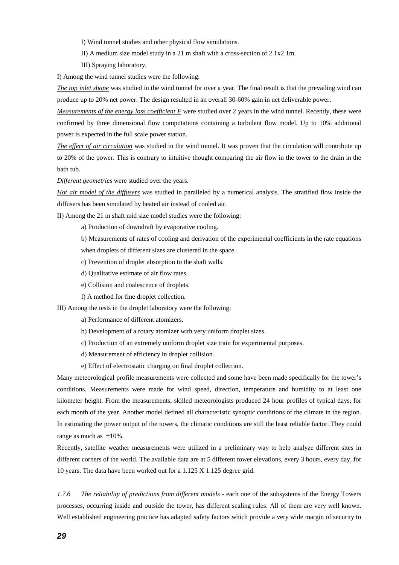- I) Wind tunnel studies and other physical flow simulations.
- II) A medium size model study in a 21 m shaft with a cross-section of 2.1x2.1m.
- III) Spraying laboratory.
- I) Among the wind tunnel studies were the following:

*The top inlet shape* was studied in the wind tunnel for over a year. The final result is that the prevailing wind can produce up to 20% net power. The design resulted in an overall 30-60% gain in net deliverable power.

*Measurements of the energy loss coefficient F* were studied over 2 years in the wind tunnel. Recently, these were confirmed by three dimensional flow computations containing a turbulent flow model. Up to 10% additional power is expected in the full scale power station.

*The effect of air circulation* was studied in the wind tunnel. It was proven that the circulation will contribute up to 20% of the power. This is contrary to intuitive thought comparing the air flow in the tower to the drain in the bath tub.

*Different geometries* were studied over the years.

*Hot air model of the diffusers* was studied in paralleled by a numerical analysis. The stratified flow inside the diffusers has been simulated by heated air instead of cooled air.

II) Among the 21 m shaft mid size model studies were the following:

a) Production of downdraft by evaporative cooling.

b) Measurements of rates of cooling and derivation of the experimental coefficients in the rate equations when droplets of different sizes are clustered in the space.

c) Prevention of droplet absorption to the shaft walls.

- d) Qualitative estimate of air flow rates.
- e) Collision and coalescence of droplets.
- f) A method for fine droplet collection.

III) Among the tests in the droplet laboratory were the following:

- a) Performance of different atomizers.
- b) Development of a rotary atomizer with very uniform droplet sizes.
- c) Production of an extremely uniform droplet size train for experimental purposes.
- d) Measurement of efficiency in droplet collision.
- e) Effect of electrostatic charging on final droplet collection.

Many meteorological profile measurements were collected and some have been made specifically for the tower's conditions. Measurements were made for wind speed, direction, temperature and humidity to at least one kilometer height. From the measurements, skilled meteorologists produced 24 hour profiles of typical days, for each month of the year. Another model defined all characteristic synoptic conditions of the climate in the region. In estimating the power output of the towers, the climatic conditions are still the least reliable factor. They could range as much as ±10%.

Recently, satellite weather measurements were utilized in a preliminary way to help analyze different sites in different corners of the world. The available data are at 5 different tower elevations, every 3 hours, every day, for 10 years. The data have been worked out for a 1.125 X 1.125 degree grid.

*1.7.6 The reliability of predictions from different models* - each one of the subsystems of the Energy Towers processes, occurring inside and outside the tower, has different scaling rules. All of them are very well known. Well established engineering practice has adapted safety factors which provide a very wide margin of security to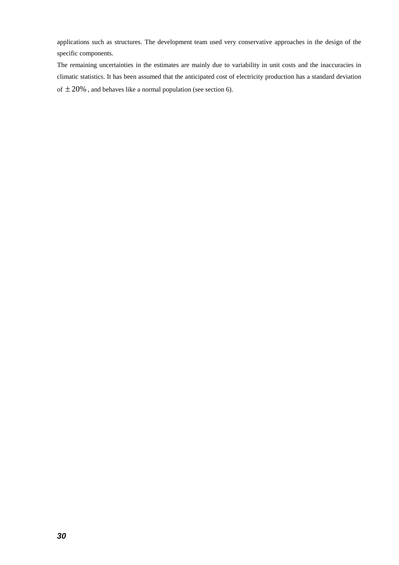applications such as structures. The development team used very conservative approaches in the design of the specific components.

The remaining uncertainties in the estimates are mainly due to variability in unit costs and the inaccuracies in climatic statistics. It has been assumed that the anticipated cost of electricity production has a standard deviation of  $\pm 20\%$  , and behaves like a normal population (see section 6).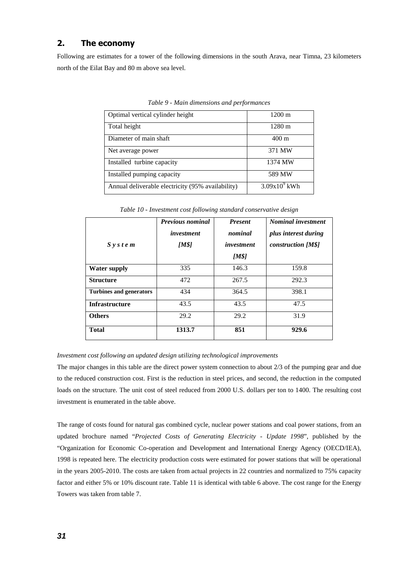# **2. The economy**

Following are estimates for a tower of the following dimensions in the south Arava, near Timna, 23 kilometers north of the Eilat Bay and 80 m above sea level.

| Optimal vertical cylinder height                  | $1200 \text{ m}$  |
|---------------------------------------------------|-------------------|
| Total height                                      | 1280 m            |
| Diameter of main shaft                            | $400 \text{ m}$   |
| Net average power                                 | 371 MW            |
| Installed turbine capacity                        | 1374 MW           |
| Installed pumping capacity                        | 589 MW            |
| Annual deliverable electricity (95% availability) | $3.09x10^{9}$ kWh |

*Table 9 - Main dimensions and performances* 

*Table 10 - Investment cost following standard conservative design* 

| $S$ y s t e m                  | <b>Previous nominal</b><br>investment<br>[M\$] | <b>Present</b><br>nominal<br><i>investment</i><br>[M\$] | <b>Nominal investment</b><br>plus interest during<br>construction [M\$] |
|--------------------------------|------------------------------------------------|---------------------------------------------------------|-------------------------------------------------------------------------|
| <b>Water supply</b>            | 335                                            | 146.3                                                   | 159.8                                                                   |
| <b>Structure</b>               | 472                                            | 267.5                                                   | 292.3                                                                   |
| <b>Turbines and generators</b> | 434                                            | 364.5                                                   | 398.1                                                                   |
| <b>Infrastructure</b>          | 43.5                                           | 43.5                                                    | 47.5                                                                    |
| <b>Others</b>                  | 29.2                                           | 29.2                                                    | 31.9                                                                    |
| <b>Total</b>                   | 1313.7                                         | 851                                                     | 929.6                                                                   |

#### *Investment cost following an updated design utilizing technological improvements*

The major changes in this table are the direct power system connection to about 2/3 of the pumping gear and due to the reduced construction cost. First is the reduction in steel prices, and second, the reduction in the computed loads on the structure. The unit cost of steel reduced from 2000 U.S. dollars per ton to 1400. The resulting cost investment is enumerated in the table above.

The range of costs found for natural gas combined cycle, nuclear power stations and coal power stations, from an updated brochure named "*Projected Costs of Generating Electricity - Update 1998*", published by the "Organization for Economic Co-operation and Development and International Energy Agency (OECD/IEA), 1998 is repeated here. The electricity production costs were estimated for power stations that will be operational in the years 2005-2010. The costs are taken from actual projects in 22 countries and normalized to 75% capacity factor and either 5% or 10% discount rate. Table 11 is identical with table 6 above. The cost range for the Energy Towers was taken from table 7.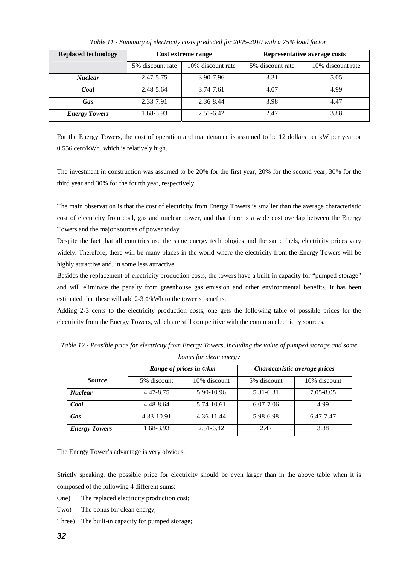| <b>Replaced technology</b> |                  | Cost extreme range | Representative average costs |                   |  |
|----------------------------|------------------|--------------------|------------------------------|-------------------|--|
|                            | 5% discount rate | 10% discount rate  | 5% discount rate             | 10% discount rate |  |
| <b>Nuclear</b>             | 2.47-5.75        | 3.90-7.96          | 3.31                         | 5.05              |  |
| Coal                       | 2.48-5.64        | 3.74-7.61          | 4.07                         | 4.99              |  |
| Gas                        | 2.33-7.91        | 2.36-8.44          | 3.98                         | 4.47              |  |
| <b>Energy Towers</b>       | 1.68-3.93        | $2.51 - 6.42$      | 2.47                         | 3.88              |  |

*Table 11 - Summary of electricity costs predicted for 2005-2010 with a 75% load factor,* 

For the Energy Towers, the cost of operation and maintenance is assumed to be 12 dollars per kW per year or 0.556 cent/kWh, which is relatively high.

The investment in construction was assumed to be 20% for the first year, 20% for the second year, 30% for the third year and 30% for the fourth year, respectively.

The main observation is that the cost of electricity from Energy Towers is smaller than the average characteristic cost of electricity from coal, gas and nuclear power, and that there is a wide cost overlap between the Energy Towers and the major sources of power today.

Despite the fact that all countries use the same energy technologies and the same fuels, electricity prices vary widely. Therefore, there will be many places in the world where the electricity from the Energy Towers will be highly attractive and, in some less attractive.

Besides the replacement of electricity production costs, the towers have a built-in capacity for "pumped-storage" and will eliminate the penalty from greenhouse gas emission and other environmental benefits. It has been estimated that these will add 2-3  $\phi$ /kWh to the tower's benefits.

Adding 2-3 cents to the electricity production costs, one gets the following table of possible prices for the electricity from the Energy Towers, which are still competitive with the common electricity sources.

*Table 12 - Possible price for electricity from Energy Towers, including the value of pumped storage and some bonus for clean energy* 

|                      | Range of prices in $\phi$ /km |               | Characteristic average prices |              |  |
|----------------------|-------------------------------|---------------|-------------------------------|--------------|--|
| <i>Source</i>        | 5% discount                   | 10% discount  | 5% discount                   | 10% discount |  |
| <b>Nuclear</b>       | 4.47-8.75                     | 5.90-10.96    | 5.31-6.31                     | 7.05-8.05    |  |
| Coal                 | 4.48-8.64                     | 5.74-10.61    | $6.07 - 7.06$                 | 4.99         |  |
| Gas                  | 4.33-10.91                    | 4.36-11.44    | 5.98-6.98                     | 6.47-7.47    |  |
| <b>Energy Towers</b> | 1.68-3.93                     | $2.51 - 6.42$ | 2.47                          | 3.88         |  |

The Energy Tower's advantage is very obvious.

Strictly speaking, the possible price for electricity should be even larger than in the above table when it is composed of the following 4 different sums:

- One) The replaced electricity production cost;
- Two) The bonus for clean energy;
- Three) The built-in capacity for pumped storage;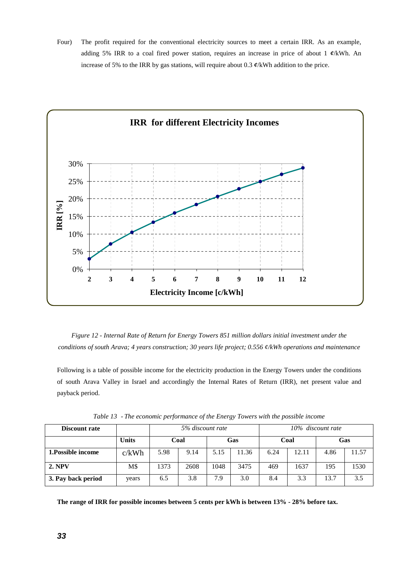Four) The profit required for the conventional electricity sources to meet a certain IRR. As an example, adding 5% IRR to a coal fired power station, requires an increase in price of about 1 *¢*/kWh. An increase of 5% to the IRR by gas stations, will require about 0.3 *¢*/kWh addition to the price.



*Figure 12 - Internal Rate of Return for Energy Towers 851 million dollars initial investment under the conditions of south Arava; 4 years construction; 30 years life project; 0.556 ¢/kWh operations and maintenance* 

Following is a table of possible income for the electricity production in the Energy Towers under the conditions of south Arava Valley in Israel and accordingly the Internal Rates of Return (IRR), net present value and payback period.

| Discount rate      |              | 5% discount rate |      |            | 10% discount rate |      |       |      |       |
|--------------------|--------------|------------------|------|------------|-------------------|------|-------|------|-------|
|                    | <b>Units</b> | Coal             |      | <b>Gas</b> |                   | Coal |       | Gas  |       |
| 1. Possible income | c/kWh        | 5.98             | 9.14 | 5.15       | 11.36             | 6.24 | 12.11 | 4.86 | 11.57 |
| <b>2. NPV</b>      | M\$          | 1373             | 2608 | 1048       | 3475              | 469  | 1637  | 195  | 1530  |
| 3. Pay back period | years        | 6.5              | 3.8  | 7.9        | 3.0               | 8.4  | 3.3   | 13.7 | 3.5   |

*Table 13* - *The economic performance of the Energy Towers with the possible income* 

**The range of IRR for possible incomes between 5 cents per kWh is between 13% - 28% before tax.**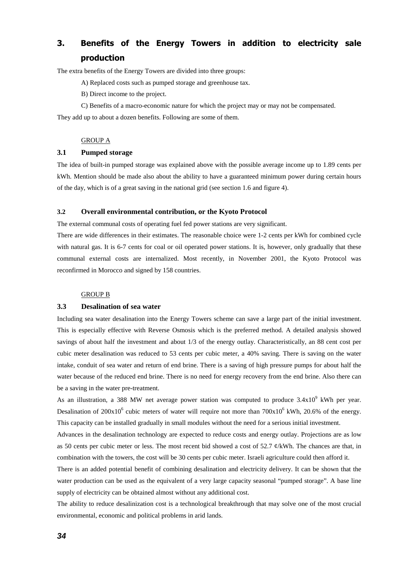# **3. Benefits of the Energy Towers in addition to electricity sale production**

The extra benefits of the Energy Towers are divided into three groups:

A) Replaced costs such as pumped storage and greenhouse tax.

B) Direct income to the project.

C) Benefits of a macro-economic nature for which the project may or may not be compensated.

They add up to about a dozen benefits. Following are some of them.

#### GROUP A

#### **3.1 Pumped storage**

The idea of built-in pumped storage was explained above with the possible average income up to 1.89 cents per kWh. Mention should be made also about the ability to have a guaranteed minimum power during certain hours of the day, which is of a great saving in the national grid (see section 1.6 and figure 4).

#### **3.2 Overall environmental contribution, or the Kyoto Protocol**

The external communal costs of operating fuel fed power stations are very significant.

There are wide differences in their estimates. The reasonable choice were 1-2 cents per kWh for combined cycle with natural gas. It is 6-7 cents for coal or oil operated power stations. It is, however, only gradually that these communal external costs are internalized. Most recently, in November 2001, the Kyoto Protocol was reconfirmed in Morocco and signed by 158 countries.

#### GROUP B

#### **3.3 Desalination of sea water**

Including sea water desalination into the Energy Towers scheme can save a large part of the initial investment. This is especially effective with Reverse Osmosis which is the preferred method. A detailed analysis showed savings of about half the investment and about 1/3 of the energy outlay. Characteristically, an 88 cent cost per cubic meter desalination was reduced to 53 cents per cubic meter, a 40% saving. There is saving on the water intake, conduit of sea water and return of end brine. There is a saving of high pressure pumps for about half the water because of the reduced end brine. There is no need for energy recovery from the end brine. Also there can be a saving in the water pre-treatment.

As an illustration, a 388 MW net average power station was computed to produce  $3.4x10^9$  kWh per year. Desalination of  $200x10^6$  cubic meters of water will require not more than  $700x10^6$  kWh,  $20.6\%$  of the energy. This capacity can be installed gradually in small modules without the need for a serious initial investment.

Advances in the desalination technology are expected to reduce costs and energy outlay. Projections are as low as 50 cents per cubic meter or less. The most recent bid showed a cost of 52.7  $\ell$ /kWh. The chances are that, in combination with the towers, the cost will be 30 cents per cubic meter. Israeli agriculture could then afford it.

There is an added potential benefit of combining desalination and electricity delivery. It can be shown that the water production can be used as the equivalent of a very large capacity seasonal "pumped storage". A base line supply of electricity can be obtained almost without any additional cost.

The ability to reduce desalinization cost is a technological breakthrough that may solve one of the most crucial environmental, economic and political problems in arid lands.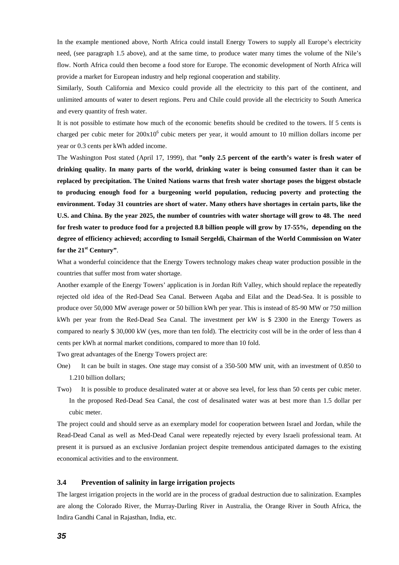In the example mentioned above, North Africa could install Energy Towers to supply all Europe's electricity need, (see paragraph 1.5 above), and at the same time, to produce water many times the volume of the Nile's flow. North Africa could then become a food store for Europe. The economic development of North Africa will provide a market for European industry and help regional cooperation and stability.

Similarly, South California and Mexico could provide all the electricity to this part of the continent, and unlimited amounts of water to desert regions. Peru and Chile could provide all the electricity to South America and every quantity of fresh water.

It is not possible to estimate how much of the economic benefits should be credited to the towers. If 5 cents is charged per cubic meter for 200x10<sup>6</sup> cubic meters per year, it would amount to 10 million dollars income per year or 0.3 cents per kWh added income.

The Washington Post stated (April 17, 1999), that **"only 2.5 percent of the earth's water is fresh water of drinking quality. In many parts of the world, drinking water is being consumed faster than it can be replaced by precipitation. The United Nations warns that fresh water shortage poses the biggest obstacle to producing enough food for a burgeoning world population, reducing poverty and protecting the environment. Today 31 countries are short of water. Many others have shortages in certain parts, like the U.S. and China. By the year 2025, the number of countries with water shortage will grow to 48. The need for fresh water to produce food for a projected 8.8 billion people will grow by 17-55%, depending on the degree of efficiency achieved; according to Ismail Sergeldi, Chairman of the World Commission on Water for the 21st Century"**.

What a wonderful coincidence that the Energy Towers technology makes cheap water production possible in the countries that suffer most from water shortage.

Another example of the Energy Towers' application is in Jordan Rift Valley, which should replace the repeatedly rejected old idea of the Red-Dead Sea Canal. Between Aqaba and Eilat and the Dead-Sea. It is possible to produce over 50,000 MW average power or 50 billion kWh per year. This is instead of 85-90 MW or 750 million kWh per year from the Red-Dead Sea Canal. The investment per kW is \$ 2300 in the Energy Towers as compared to nearly \$ 30,000 kW (yes, more than ten fold). The electricity cost will be in the order of less than 4 cents per kWh at normal market conditions, compared to more than 10 fold.

Two great advantages of the Energy Towers project are:

- One) It can be built in stages. One stage may consist of a 350-500 MW unit, with an investment of 0.850 to 1.210 billion dollars;
- Two) It is possible to produce desalinated water at or above sea level, for less than 50 cents per cubic meter. In the proposed Red-Dead Sea Canal, the cost of desalinated water was at best more than 1.5 dollar per cubic meter.

The project could and should serve as an exemplary model for cooperation between Israel and Jordan, while the Read-Dead Canal as well as Med-Dead Canal were repeatedly rejected by every Israeli professional team. At present it is pursued as an exclusive Jordanian project despite tremendous anticipated damages to the existing economical activities and to the environment.

#### **3.4 Prevention of salinity in large irrigation projects**

The largest irrigation projects in the world are in the process of gradual destruction due to salinization. Examples are along the Colorado River, the Murray-Darling River in Australia, the Orange River in South Africa, the Indira Gandhi Canal in Rajasthan, India, etc.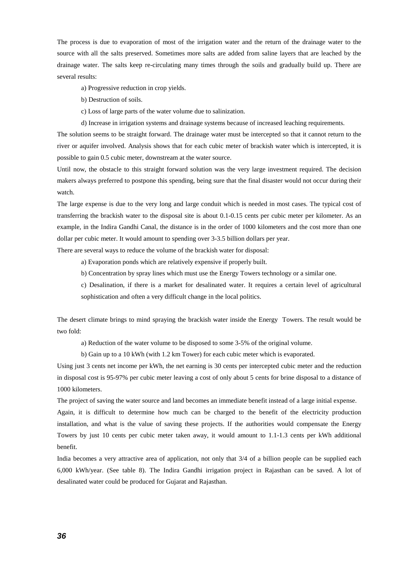The process is due to evaporation of most of the irrigation water and the return of the drainage water to the source with all the salts preserved. Sometimes more salts are added from saline layers that are leached by the drainage water. The salts keep re-circulating many times through the soils and gradually build up. There are several results:

a) Progressive reduction in crop yields.

- b) Destruction of soils.
- c) Loss of large parts of the water volume due to salinization.
- d) Increase in irrigation systems and drainage systems because of increased leaching requirements.

The solution seems to be straight forward. The drainage water must be intercepted so that it cannot return to the river or aquifer involved. Analysis shows that for each cubic meter of brackish water which is intercepted, it is possible to gain 0.5 cubic meter, downstream at the water source.

Until now, the obstacle to this straight forward solution was the very large investment required. The decision makers always preferred to postpone this spending, being sure that the final disaster would not occur during their watch.

The large expense is due to the very long and large conduit which is needed in most cases. The typical cost of transferring the brackish water to the disposal site is about 0.1-0.15 cents per cubic meter per kilometer. As an example, in the Indira Gandhi Canal, the distance is in the order of 1000 kilometers and the cost more than one dollar per cubic meter. It would amount to spending over 3-3.5 billion dollars per year.

There are several ways to reduce the volume of the brackish water for disposal:

- a) Evaporation ponds which are relatively expensive if properly built.
- b) Concentration by spray lines which must use the Energy Towers technology or a similar one.
- c) Desalination, if there is a market for desalinated water. It requires a certain level of agricultural sophistication and often a very difficult change in the local politics.

The desert climate brings to mind spraying the brackish water inside the Energy Towers. The result would be two fold:

a) Reduction of the water volume to be disposed to some 3-5% of the original volume.

b) Gain up to a 10 kWh (with 1.2 km Tower) for each cubic meter which is evaporated.

Using just 3 cents net income per kWh, the net earning is 30 cents per intercepted cubic meter and the reduction in disposal cost is 95-97% per cubic meter leaving a cost of only about 5 cents for brine disposal to a distance of 1000 kilometers.

The project of saving the water source and land becomes an immediate benefit instead of a large initial expense.

Again, it is difficult to determine how much can be charged to the benefit of the electricity production installation, and what is the value of saving these projects. If the authorities would compensate the Energy Towers by just 10 cents per cubic meter taken away, it would amount to 1.1-1.3 cents per kWh additional benefit.

India becomes a very attractive area of application, not only that 3/4 of a billion people can be supplied each 6,000 kWh/year. (See table 8). The Indira Gandhi irrigation project in Rajasthan can be saved. A lot of desalinated water could be produced for Gujarat and Rajasthan.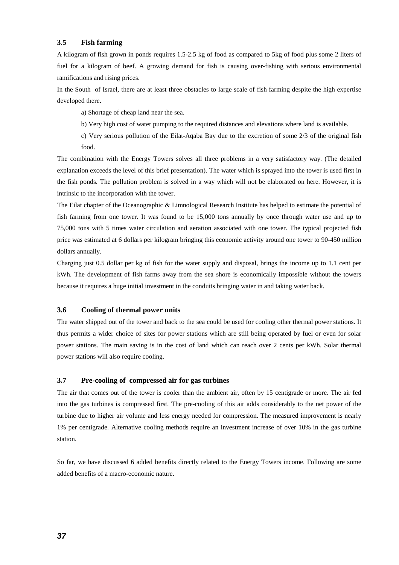#### **3.5 Fish farming**

A kilogram of fish grown in ponds requires 1.5-2.5 kg of food as compared to 5kg of food plus some 2 liters of fuel for a kilogram of beef. A growing demand for fish is causing over-fishing with serious environmental ramifications and rising prices.

In the South of Israel, there are at least three obstacles to large scale of fish farming despite the high expertise developed there.

a) Shortage of cheap land near the sea.

b) Very high cost of water pumping to the required distances and elevations where land is available.

c) Very serious pollution of the Eilat-Aqaba Bay due to the excretion of some 2/3 of the original fish food.

The combination with the Energy Towers solves all three problems in a very satisfactory way. (The detailed explanation exceeds the level of this brief presentation). The water which is sprayed into the tower is used first in the fish ponds. The pollution problem is solved in a way which will not be elaborated on here. However, it is intrinsic to the incorporation with the tower.

The Eilat chapter of the Oceanographic & Limnological Research Institute has helped to estimate the potential of fish farming from one tower. It was found to be 15,000 tons annually by once through water use and up to 75,000 tons with 5 times water circulation and aeration associated with one tower. The typical projected fish price was estimated at 6 dollars per kilogram bringing this economic activity around one tower to 90-450 million dollars annually.

Charging just 0.5 dollar per kg of fish for the water supply and disposal, brings the income up to 1.1 cent per kWh. The development of fish farms away from the sea shore is economically impossible without the towers because it requires a huge initial investment in the conduits bringing water in and taking water back.

#### **3.6 Cooling of thermal power units**

The water shipped out of the tower and back to the sea could be used for cooling other thermal power stations. It thus permits a wider choice of sites for power stations which are still being operated by fuel or even for solar power stations. The main saving is in the cost of land which can reach over 2 cents per kWh. Solar thermal power stations will also require cooling.

#### **3.7 Pre-cooling of compressed air for gas turbines**

The air that comes out of the tower is cooler than the ambient air, often by 15 centigrade or more. The air fed into the gas turbines is compressed first. The pre-cooling of this air adds considerably to the net power of the turbine due to higher air volume and less energy needed for compression. The measured improvement is nearly 1% per centigrade. Alternative cooling methods require an investment increase of over 10% in the gas turbine station.

So far, we have discussed 6 added benefits directly related to the Energy Towers income. Following are some added benefits of a macro-economic nature.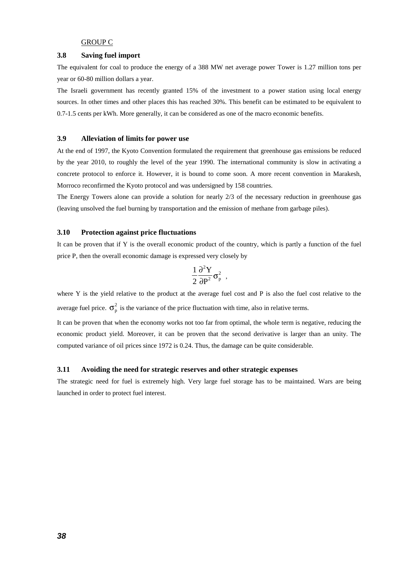#### GROUP C

#### **3.8 Saving fuel import**

The equivalent for coal to produce the energy of a 388 MW net average power Tower is 1.27 million tons per year or 60-80 million dollars a year.

The Israeli government has recently granted 15% of the investment to a power station using local energy sources. In other times and other places this has reached 30%. This benefit can be estimated to be equivalent to 0.7-1.5 cents per kWh. More generally, it can be considered as one of the macro economic benefits.

#### **3.9 Alleviation of limits for power use**

At the end of 1997, the Kyoto Convention formulated the requirement that greenhouse gas emissions be reduced by the year 2010, to roughly the level of the year 1990. The international community is slow in activating a concrete protocol to enforce it. However, it is bound to come soon. A more recent convention in Marakesh, Morroco reconfirmed the Kyoto protocol and was undersigned by 158 countries.

The Energy Towers alone can provide a solution for nearly 2/3 of the necessary reduction in greenhouse gas (leaving unsolved the fuel burning by transportation and the emission of methane from garbage piles).

#### **3.10 Protection against price fluctuations**

It can be proven that if Y is the overall economic product of the country, which is partly a function of the fuel price P, then the overall economic damage is expressed very closely by

$$
\frac{1}{2}\frac{\partial^2 Y}{\partial P^2}\sigma_p^2\ ,
$$

where Y is the yield relative to the product at the average fuel cost and P is also the fuel cost relative to the average fuel price.  $\sigma_p^2$  is the variance of the price fluctuation with time, also in relative terms.

It can be proven that when the economy works not too far from optimal, the whole term is negative, reducing the economic product yield. Moreover, it can be proven that the second derivative is larger than an unity. The computed variance of oil prices since 1972 is 0.24. Thus, the damage can be quite considerable.

#### **3.11 Avoiding the need for strategic reserves and other strategic expenses**

The strategic need for fuel is extremely high. Very large fuel storage has to be maintained. Wars are being launched in order to protect fuel interest.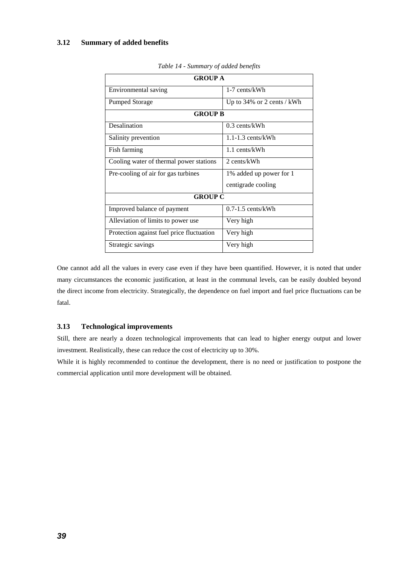#### **3.12 Summary of added benefits**

| <b>GROUP A</b>                            |                               |  |  |  |
|-------------------------------------------|-------------------------------|--|--|--|
| Environmental saving                      | 1-7 cents/kWh                 |  |  |  |
| <b>Pumped Storage</b>                     | Up to $34\%$ or 2 cents / kWh |  |  |  |
| <b>GROUP B</b>                            |                               |  |  |  |
| Desalination                              | $0.3$ cents/kWh               |  |  |  |
| Salinity prevention                       | $1.1 - 1.3$ cents/kWh         |  |  |  |
| Fish farming                              | 1.1 cents/kWh                 |  |  |  |
| Cooling water of thermal power stations   | 2 cents/kWh                   |  |  |  |
| Pre-cooling of air for gas turbines       | 1% added up power for 1       |  |  |  |
|                                           | centigrade cooling            |  |  |  |
| <b>GROUP C</b>                            |                               |  |  |  |
| Improved balance of payment               | $0.7-1.5$ cents/kWh           |  |  |  |
| Alleviation of limits to power use        | Very high                     |  |  |  |
| Protection against fuel price fluctuation | Very high                     |  |  |  |
| Strategic savings                         | Very high                     |  |  |  |

*Table 14 - Summary of added benefits* 

One cannot add all the values in every case even if they have been quantified. However, it is noted that under many circumstances the economic justification, at least in the communal levels, can be easily doubled beyond the direct income from electricity. Strategically, the dependence on fuel import and fuel price fluctuations can be fatal.

#### **3.13 Technological improvements**

Still, there are nearly a dozen technological improvements that can lead to higher energy output and lower investment. Realistically, these can reduce the cost of electricity up to 30%.

While it is highly recommended to continue the development, there is no need or justification to postpone the commercial application until more development will be obtained.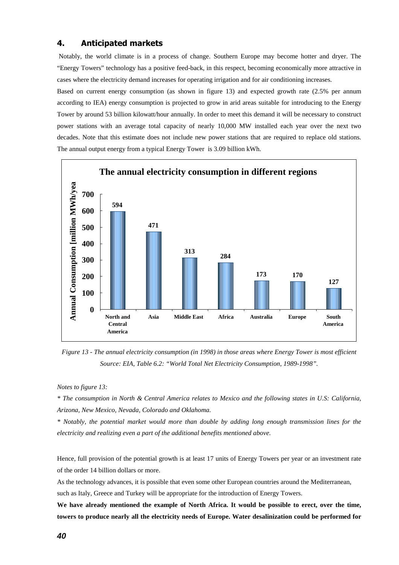### **4. Anticipated markets**

Notably, the world climate is in a process of change. Southern Europe may become hotter and dryer. The "Energy Towers" technology has a positive feed-back, in this respect, becoming economically more attractive in cases where the electricity demand increases for operating irrigation and for air conditioning increases.

Based on current energy consumption (as shown in figure 13) and expected growth rate (2.5% per annum according to IEA) energy consumption is projected to grow in arid areas suitable for introducing to the Energy Tower by around 53 billion kilowatt/hour annually. In order to meet this demand it will be necessary to construct power stations with an average total capacity of nearly 10,000 MW installed each year over the next two decades. Note that this estimate does not include new power stations that are required to replace old stations. The annual output energy from a typical Energy Tower is 3.09 billion kWh.



*Figure 13 - The annual electricity consumption (in 1998) in those areas where Energy Tower is most efficient Source: EIA, Table 6.2: "World Total Net Electricity Consumption, 1989-1998".* 

*Notes to figure 13:* 

*\* The consumption in North & Central America relates to Mexico and the following states in U.S: California, Arizona, New Mexico, Nevada, Colorado and Oklahoma.* 

*\* Notably, the potential market would more than double by adding long enough transmission lines for the electricity and realizing even a part of the additional benefits mentioned above.* 

Hence, full provision of the potential growth is at least 17 units of Energy Towers per year or an investment rate of the order 14 billion dollars or more.

As the technology advances, it is possible that even some other European countries around the Mediterranean,

such as Italy, Greece and Turkey will be appropriate for the introduction of Energy Towers.

**We have already mentioned the example of North Africa. It would be possible to erect, over the time, towers to produce nearly all the electricity needs of Europe. Water desalinization could be performed for**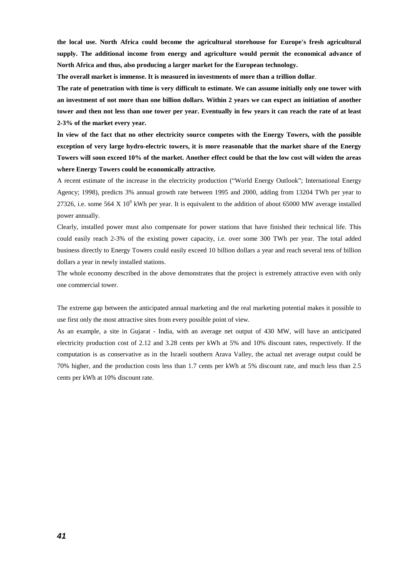**the local use. North Africa could become the agricultural storehouse for Europe's fresh agricultural supply. The additional income from energy and agriculture would permit the economical advance of North Africa and thus, also producing a larger market for the European technology.** 

**The overall market is immense. It is measured in investments of more than a trillion dollar**.

**The rate of penetration with time is very difficult to estimate. We can assume initially only one tower with an investment of not more than one billion dollars. Within 2 years we can expect an initiation of another tower and then not less than one tower per year. Eventually in few years it can reach the rate of at least 2-3% of the market every year.** 

**In view of the fact that no other electricity source competes with the Energy Towers, with the possible exception of very large hydro-electric towers, it is more reasonable that the market share of the Energy Towers will soon exceed 10% of the market. Another effect could be that the low cost will widen the areas where Energy Towers could be economically attractive.** 

A recent estimate of the increase in the electricity production ("World Energy Outlook"; International Energy Agency; 1998), predicts 3% annual growth rate between 1995 and 2000, adding from 13204 TWh per year to 27326, i.e. some 564 X 10<sup>9</sup> kWh per year. It is equivalent to the addition of about 65000 MW average installed power annually.

Clearly, installed power must also compensate for power stations that have finished their technical life. This could easily reach 2-3% of the existing power capacity, i.e. over some 300 TWh per year. The total added business directly to Energy Towers could easily exceed 10 billion dollars a year and reach several tens of billion dollars a year in newly installed stations.

The whole economy described in the above demonstrates that the project is extremely attractive even with only one commercial tower.

The extreme gap between the anticipated annual marketing and the real marketing potential makes it possible to use first only the most attractive sites from every possible point of view.

As an example, a site in Gujarat - India, with an average net output of 430 MW, will have an anticipated electricity production cost of 2.12 and 3.28 cents per kWh at 5% and 10% discount rates, respectively. If the computation is as conservative as in the Israeli southern Arava Valley, the actual net average output could be 70% higher, and the production costs less than 1.7 cents per kWh at 5% discount rate, and much less than 2.5 cents per kWh at 10% discount rate.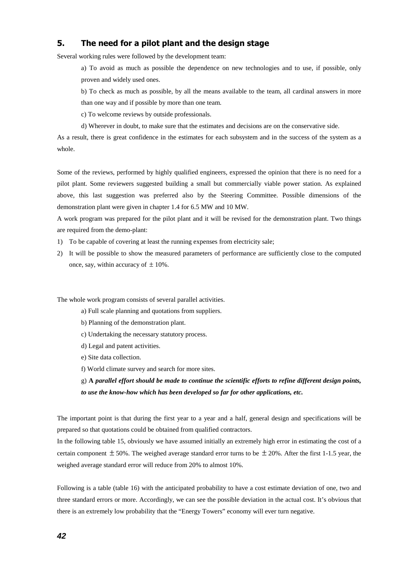## **5. The need for a pilot plant and the design stage**

Several working rules were followed by the development team:

a) To avoid as much as possible the dependence on new technologies and to use, if possible, only proven and widely used ones.

b) To check as much as possible, by all the means available to the team, all cardinal answers in more than one way and if possible by more than one team.

c) To welcome reviews by outside professionals.

d) Wherever in doubt, to make sure that the estimates and decisions are on the conservative side.

As a result, there is great confidence in the estimates for each subsystem and in the success of the system as a whole.

Some of the reviews, performed by highly qualified engineers, expressed the opinion that there is no need for a pilot plant. Some reviewers suggested building a small but commercially viable power station. As explained above, this last suggestion was preferred also by the Steering Committee. Possible dimensions of the demonstration plant were given in chapter 1.4 for 6.5 MW and 10 MW.

A work program was prepared for the pilot plant and it will be revised for the demonstration plant. Two things are required from the demo-plant:

- 1) To be capable of covering at least the running expenses from electricity sale;
- 2) It will be possible to show the measured parameters of performance are sufficiently close to the computed once, say, within accuracy of  $\pm 10\%$ .

The whole work program consists of several parallel activities.

- a) Full scale planning and quotations from suppliers.
- b) Planning of the demonstration plant.
- c) Undertaking the necessary statutory process.
- d) Legal and patent activities.
- e) Site data collection.
- f) World climate survey and search for more sites.

g) **A** *parallel effort should be made to continue the scientific efforts to refine different design points, to use the know-how which has been developed so far for other applications, etc.* 

The important point is that during the first year to a year and a half, general design and specifications will be prepared so that quotations could be obtained from qualified contractors.

In the following table 15, obviously we have assumed initially an extremely high error in estimating the cost of a certain component  $\pm 50\%$ . The weighed average standard error turns to be  $\pm 20\%$ . After the first 1-1.5 year, the weighed average standard error will reduce from 20% to almost 10%.

Following is a table (table 16) with the anticipated probability to have a cost estimate deviation of one, two and three standard errors or more. Accordingly, we can see the possible deviation in the actual cost. It's obvious that there is an extremely low probability that the "Energy Towers" economy will ever turn negative.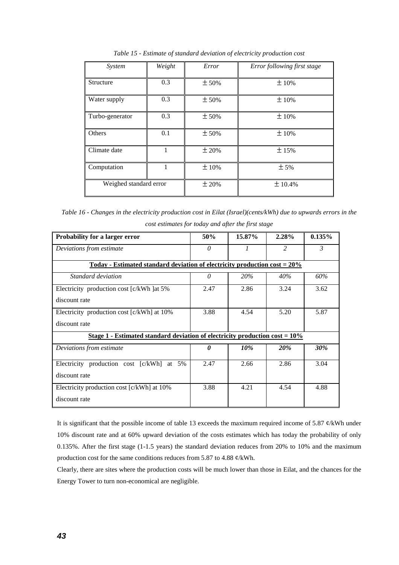| System                 | Weight | Error | Error following first stage |
|------------------------|--------|-------|-----------------------------|
| Structure              | 0.3    | ± 50% | ±10%                        |
| Water supply           | 0.3    | ± 50% | ±10%                        |
| Turbo-generator        | 0.3    | ± 50% | ±10%                        |
| Others                 | 0.1    | ± 50% | ±10%                        |
| Climate date           |        | ±20%  | ±15%                        |
| Computation            |        | ±10%  | ± 5%                        |
| Weighed standard error |        | ±20%  | ± 10.4%                     |

*Table 15 - Estimate of standard deviation of electricity production cost* 

*Table 16 - Changes in the electricity production cost in Eilat (Israel)(cents/kWh) due to upwards errors in the cost estimates for today and after the first stage* 

| <b>Probability for a larger error</b>                                                           | 50%      | 15.87%     | 2.28%         | 0.135%     |
|-------------------------------------------------------------------------------------------------|----------|------------|---------------|------------|
| Deviations from estimate                                                                        | $\theta$ | $\prime$   | $\mathcal{L}$ | 3          |
| <u> Today - Estimated standard deviation of electricity production cost = <math>20\%</math></u> |          |            |               |            |
| Standard deviation                                                                              | 0        | <b>20%</b> | 40%           | 60%        |
| Electricity production cost [c/kWh ] at 5%                                                      | 2.47     | 2.86       | 3.24          | 3.62       |
| discount rate                                                                                   |          |            |               |            |
| Electricity production cost [c/kWh] at 10%                                                      | 3.88     | 4.54       | 5.20          | 5.87       |
| discount rate                                                                                   |          |            |               |            |
| Stage 1 - Estimated standard deviation of electricity production cost = $10\%$                  |          |            |               |            |
| Deviations from estimate                                                                        | 0        | 10%        | 20%           | <b>30%</b> |
| Electricity production cost [c/kWh] at 5%                                                       | 2.47     | 2.66       | 2.86          | 3.04       |
| discount rate                                                                                   |          |            |               |            |
| Electricity production cost [c/kWh] at 10%                                                      | 3.88     | 4.21       | 4.54          | 4.88       |
| discount rate                                                                                   |          |            |               |            |

It is significant that the possible income of table 13 exceeds the maximum required income of 5.87 ¢/kWh under 10% discount rate and at 60% upward deviation of the costs estimates which has today the probability of only 0.135%. After the first stage (1-1.5 years) the standard deviation reduces from 20% to 10% and the maximum production cost for the same conditions reduces from 5.87 to 4.88 ¢/kWh.

Clearly, there are sites where the production costs will be much lower than those in Eilat, and the chances for the Energy Tower to turn non-economical are negligible.